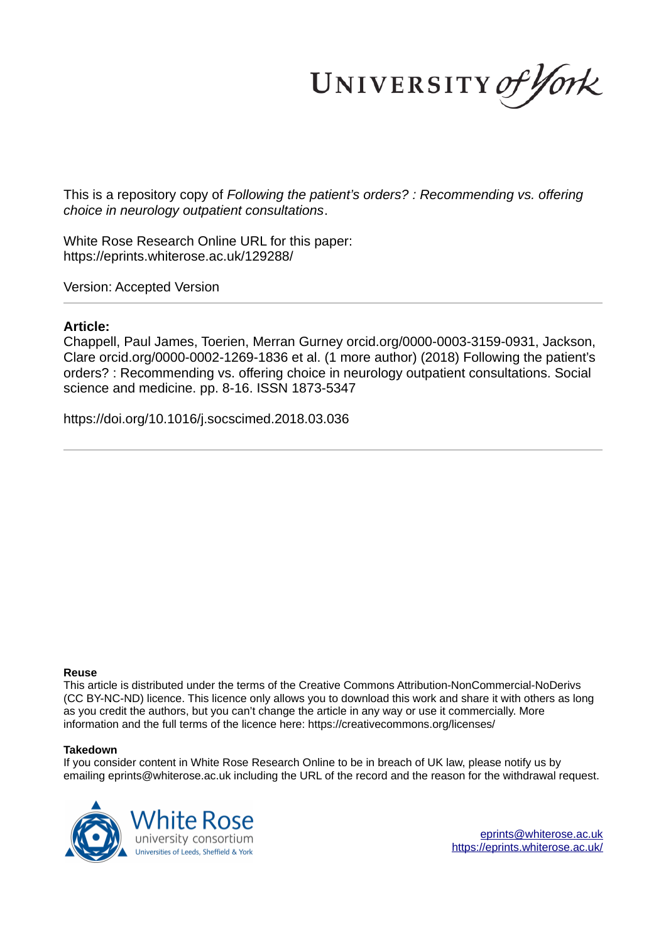UNIVERSITY of York

This is a repository copy of *Following the patient's orders? : Recommending vs. offering choice in neurology outpatient consultations*.

White Rose Research Online URL for this paper: https://eprints.whiterose.ac.uk/129288/

Version: Accepted Version

#### **Article:**

Chappell, Paul James, Toerien, Merran Gurney orcid.org/0000-0003-3159-0931, Jackson, Clare orcid.org/0000-0002-1269-1836 et al. (1 more author) (2018) Following the patient's orders? : Recommending vs. offering choice in neurology outpatient consultations. Social science and medicine. pp. 8-16. ISSN 1873-5347

https://doi.org/10.1016/j.socscimed.2018.03.036

#### **Reuse**

This article is distributed under the terms of the Creative Commons Attribution-NonCommercial-NoDerivs (CC BY-NC-ND) licence. This licence only allows you to download this work and share it with others as long as you credit the authors, but you can't change the article in any way or use it commercially. More information and the full terms of the licence here: https://creativecommons.org/licenses/

#### **Takedown**

If you consider content in White Rose Research Online to be in breach of UK law, please notify us by emailing eprints@whiterose.ac.uk including the URL of the record and the reason for the withdrawal request.



eprints@whiterose.ac.uk https://eprints.whiterose.ac.uk/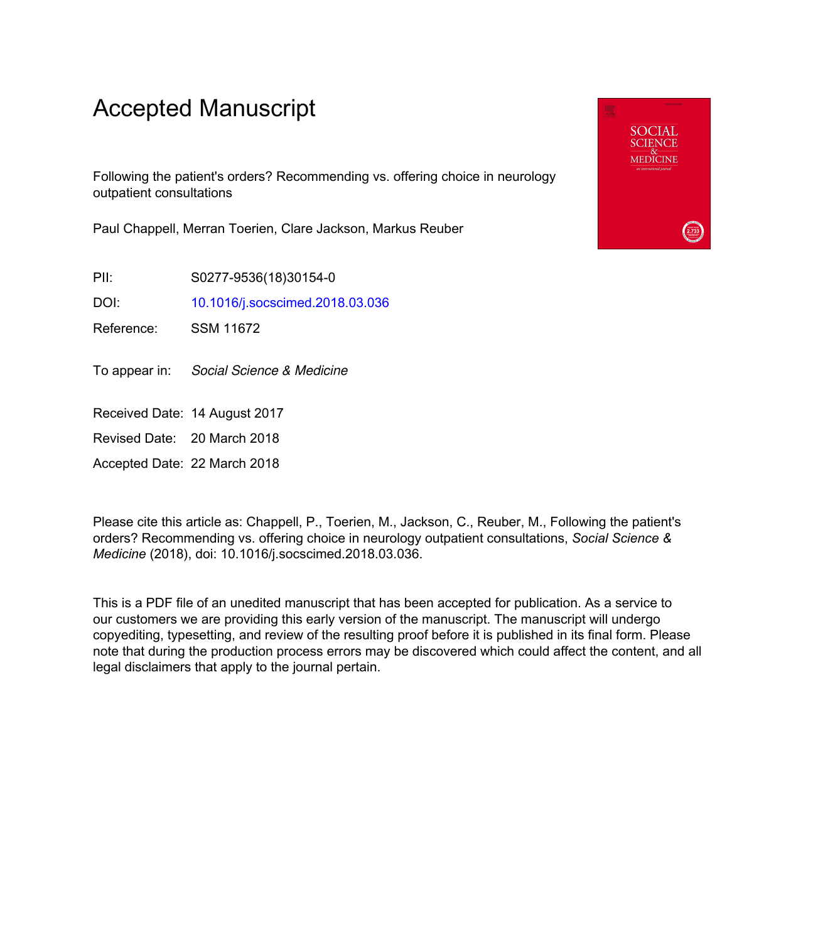# Accepted Manuscript

Following the patient's orders? Recommending vs. offering choice in neurology outpatient consultations

Paul Chappell, Merran Toerien, Clare Jackson, Markus Reuber

PII: S0277-9536(18)30154-0

DOI: 10.1016/j.socscimed.2018.03.036

Reference: SSM 11672

To appear in: Social Science & Medicine

Received Date: 14 August 2017

Revised Date: 20 March 2018

Accepted Date: 22 March 2018

Please cite this article as: Chappell, P., Toerien, M., Jackson, C., Reuber, M., Following the patient's orders? Recommending vs. offering choice in neurology outpatient consultations, *Social Science & Medicine* (2018), doi: 10.1016/j.socscimed.2018.03.036.

This is a PDF file of an unedited manuscript that has been accepted for publication. As a service to our customers we are providing this early version of the manuscript. The manuscript will undergo copyediting, typesetting, and review of the resulting proof before it is published in its final form. Please note that during the production process errors may be discovered which could affect the content, and all legal disclaimers that apply to the journal pertain.

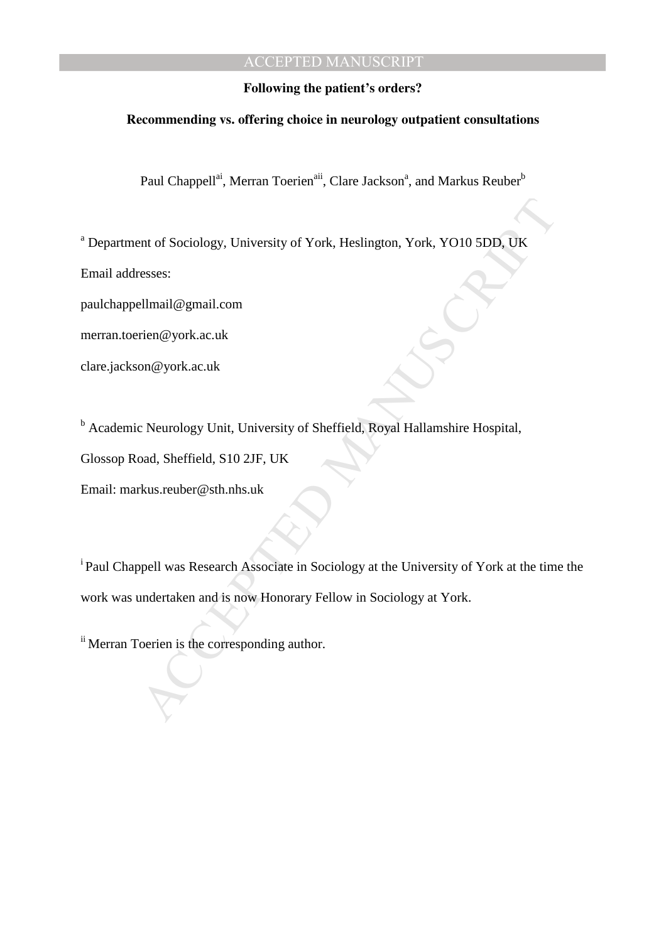#### **Following the patient's orders?**

#### **Recommending vs. offering choice in neurology outpatient consultations**

Paul Chappell<sup>ai</sup>, Merran Toerien<sup>aii</sup>, Clare Jackson<sup>a</sup>, and Markus Reuber<sup>b</sup>

<sup>a</sup> Department of Sociology, University of York, Heslington, York, YO10 5DD, UK

Email addresses:

paulchappellmail@gmail.com

merran.toerien@york.ac.uk

clare.jackson@york.ac.uk

<sup>b</sup> Academic Neurology Unit, University of Sheffield, Royal Hallamshire Hospital,

Glossop Road, Sheffield, S10 2JF, UK

Email: markus.reuber@sth.nhs.uk

ent of Sociology, University of York, Heslington, York, YO10 5DD, UK<br>
Elmail@gmail.com<br>
rien@york.ac.uk<br>
on@york.ac.uk<br>
c Neurology Unit, University of Sheffield, Royal Hallamshire Hospital,<br>
coad, Sheffield, S10 2JF, UK<br> <sup>i</sup> Paul Chappell was Research Associate in Sociology at the University of York at the time the work was undertaken and is now Honorary Fellow in Sociology at York.

ii Merran Toerien is the corresponding author.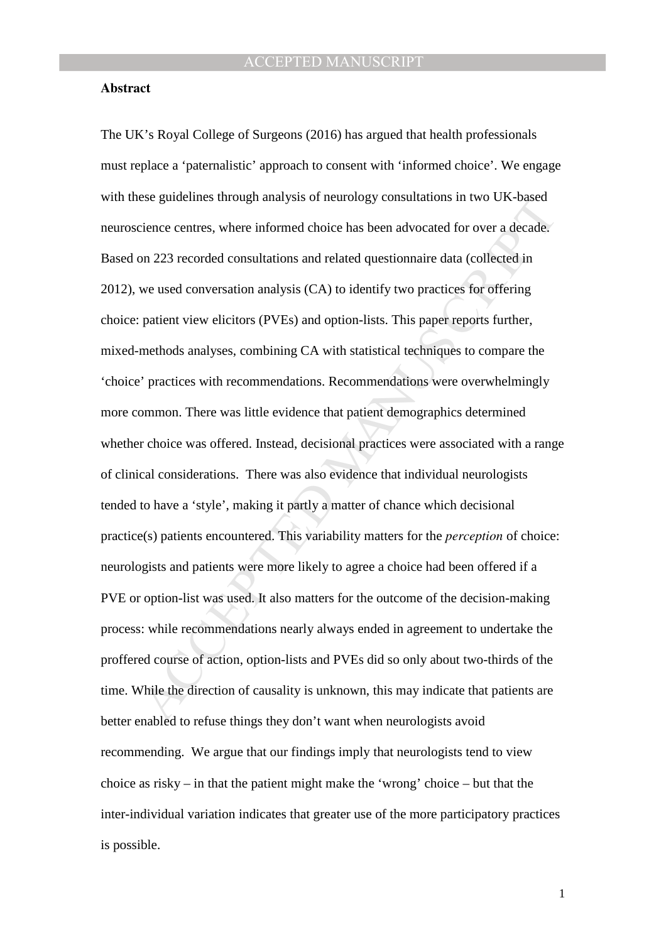#### **Abstract**

ess guidennes infough analysis of neurology consulations in two OK-osset<br>cience centres, where informed choice has been advocated for over a decade<br>on 223 recorded consultations and related questionnaire data (collected in The UK's Royal College of Surgeons (2016) has argued that health professionals must replace a 'paternalistic' approach to consent with 'informed choice'. We engage with these guidelines through analysis of neurology consultations in two UK-based neuroscience centres, where informed choice has been advocated for over a decade. Based on 223 recorded consultations and related questionnaire data (collected in 2012), we used conversation analysis (CA) to identify two practices for offering choice: patient view elicitors (PVEs) and option-lists. This paper reports further, mixed-methods analyses, combining CA with statistical techniques to compare the 'choice' practices with recommendations. Recommendations were overwhelmingly more common. There was little evidence that patient demographics determined whether choice was offered. Instead, decisional practices were associated with a range of clinical considerations. There was also evidence that individual neurologists tended to have a 'style', making it partly a matter of chance which decisional practice(s) patients encountered. This variability matters for the *perception* of choice: neurologists and patients were more likely to agree a choice had been offered if a PVE or option-list was used. It also matters for the outcome of the decision-making process: while recommendations nearly always ended in agreement to undertake the proffered course of action, option-lists and PVEs did so only about two-thirds of the time. While the direction of causality is unknown, this may indicate that patients are better enabled to refuse things they don't want when neurologists avoid recommending. We argue that our findings imply that neurologists tend to view choice as risky – in that the patient might make the 'wrong' choice – but that the inter-individual variation indicates that greater use of the more participatory practices is possible.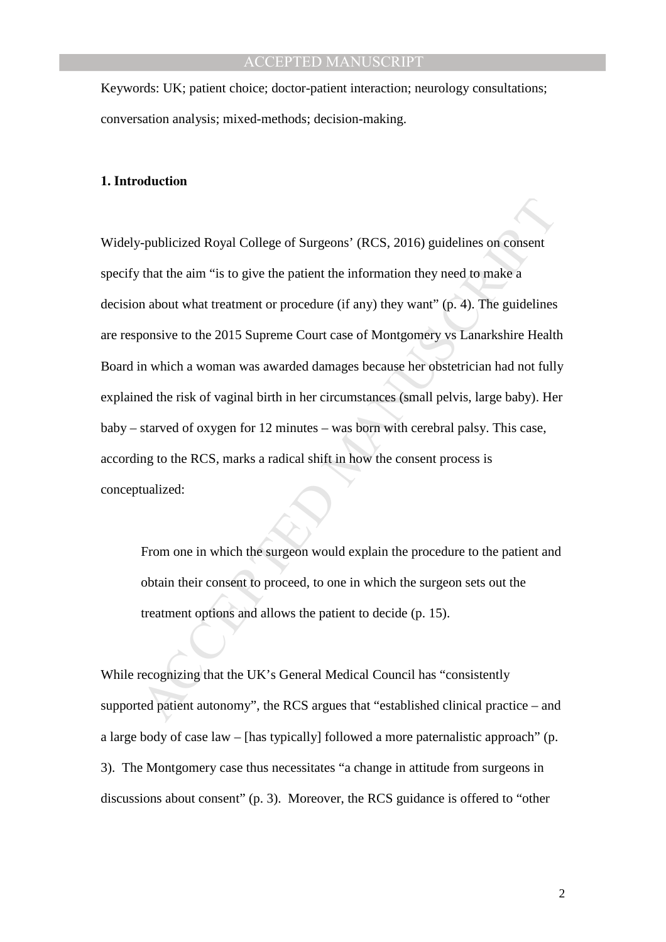Keywords: UK; patient choice; doctor-patient interaction; neurology consultations; conversation analysis; mixed-methods; decision-making.

## **1. Introduction**

-publicized Royal College of Surgeons' (RCS, 2016) guidelines on consent<br>
that the aim "is to give the patient the information they need to make a<br>
n about what treatment or procedure (if any) they want" (p. 4). The guide Widely-publicized Royal College of Surgeons' (RCS, 2016) guidelines on consent specify that the aim "is to give the patient the information they need to make a decision about what treatment or procedure (if any) they want" (p. 4). The guidelines are responsive to the 2015 Supreme Court case of Montgomery vs Lanarkshire Health Board in which a woman was awarded damages because her obstetrician had not fully explained the risk of vaginal birth in her circumstances (small pelvis, large baby). Her baby – starved of oxygen for 12 minutes – was born with cerebral palsy. This case, according to the RCS, marks a radical shift in how the consent process is conceptualized:

From one in which the surgeon would explain the procedure to the patient and obtain their consent to proceed, to one in which the surgeon sets out the treatment options and allows the patient to decide (p. 15).

While recognizing that the UK's General Medical Council has "consistently supported patient autonomy", the RCS argues that "established clinical practice – and a large body of case law – [has typically] followed a more paternalistic approach" (p. 3). The Montgomery case thus necessitates "a change in attitude from surgeons in discussions about consent" (p. 3). Moreover, the RCS guidance is offered to "other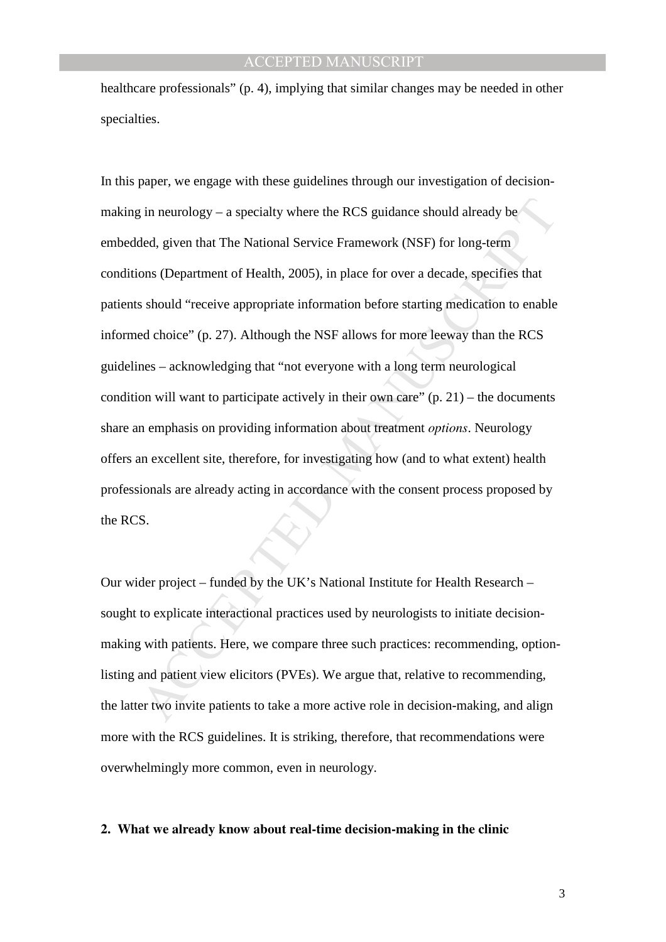healthcare professionals" (p. 4), implying that similar changes may be needed in other specialties.

g in neurology – a specialty where the RCS guidance should already be<br>ded, given that The National Service Framework (NSF) for long-term<br>ons (Department of Health, 2005), in place for over a decade, specifies that<br>should In this paper, we engage with these guidelines through our investigation of decisionmaking in neurology – a specialty where the RCS guidance should already be embedded, given that The National Service Framework (NSF) for long-term conditions (Department of Health, 2005), in place for over a decade, specifies that patients should "receive appropriate information before starting medication to enable informed choice" (p. 27). Although the NSF allows for more leeway than the RCS guidelines – acknowledging that "not everyone with a long term neurological condition will want to participate actively in their own care"  $(p, 21)$  – the documents share an emphasis on providing information about treatment *options*. Neurology offers an excellent site, therefore, for investigating how (and to what extent) health professionals are already acting in accordance with the consent process proposed by the RCS.

Our wider project – funded by the UK's National Institute for Health Research – sought to explicate interactional practices used by neurologists to initiate decisionmaking with patients. Here, we compare three such practices: recommending, optionlisting and patient view elicitors (PVEs). We argue that, relative to recommending, the latter two invite patients to take a more active role in decision-making, and align more with the RCS guidelines. It is striking, therefore, that recommendations were overwhelmingly more common, even in neurology.

#### **2. What we already know about real-time decision-making in the clinic**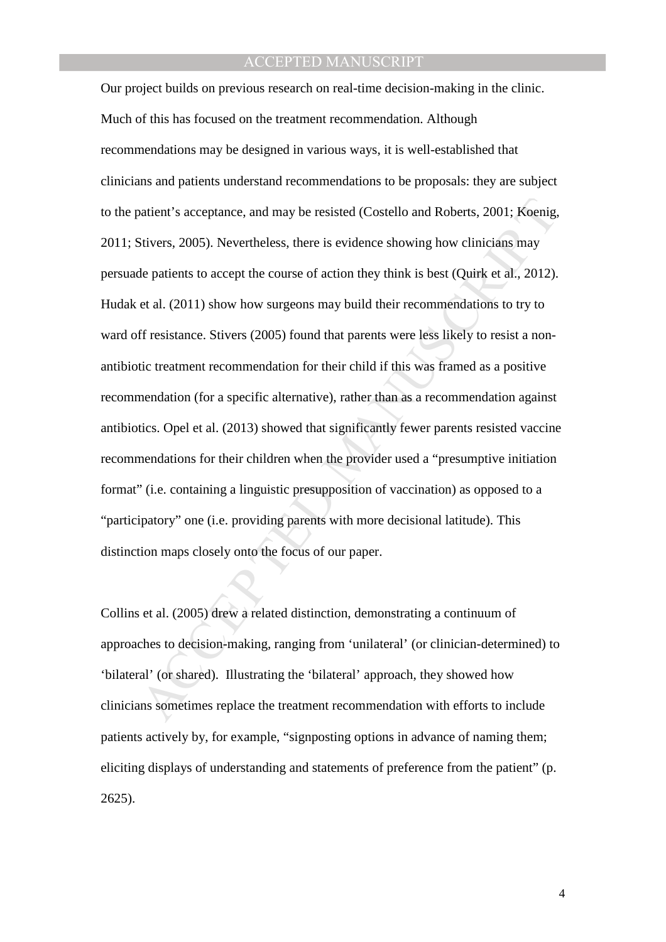vatient's acceptance, and may be resisted (Costello and Roberts, 2001; Koenig,<br>Sitvers, 2005). Nevertheless, there is evidence showing how clinicians may<br>le patients to accept the course of action they think is best (Quirk Our project builds on previous research on real-time decision-making in the clinic. Much of this has focused on the treatment recommendation. Although recommendations may be designed in various ways, it is well-established that clinicians and patients understand recommendations to be proposals: they are subject to the patient's acceptance, and may be resisted (Costello and Roberts, 2001; Koenig, 2011; Stivers, 2005). Nevertheless, there is evidence showing how clinicians may persuade patients to accept the course of action they think is best (Quirk et al., 2012). Hudak et al. (2011) show how surgeons may build their recommendations to try to ward off resistance. Stivers (2005) found that parents were less likely to resist a nonantibiotic treatment recommendation for their child if this was framed as a positive recommendation (for a specific alternative), rather than as a recommendation against antibiotics. Opel et al. (2013) showed that significantly fewer parents resisted vaccine recommendations for their children when the provider used a "presumptive initiation format" (i.e. containing a linguistic presupposition of vaccination) as opposed to a "participatory" one (i.e. providing parents with more decisional latitude). This distinction maps closely onto the focus of our paper.

Collins et al. (2005) drew a related distinction, demonstrating a continuum of approaches to decision-making, ranging from 'unilateral' (or clinician-determined) to 'bilateral' (or shared). Illustrating the 'bilateral' approach, they showed how clinicians sometimes replace the treatment recommendation with efforts to include patients actively by, for example, "signposting options in advance of naming them; eliciting displays of understanding and statements of preference from the patient" (p. 2625).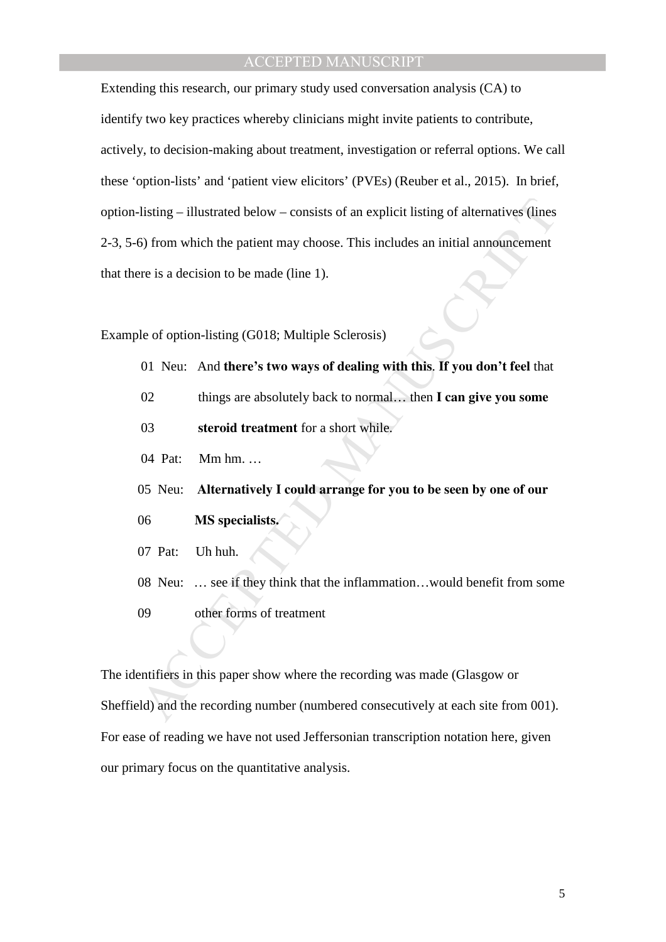Unitary and the patient may choose. This includes an initial announcement<br>
So from which the patient may choose. This includes an initial announcement<br>
rer is a decision to be made (line 1).<br>
Me of option-listing (G018; Mu Extending this research, our primary study used conversation analysis (CA) to identify two key practices whereby clinicians might invite patients to contribute, actively, to decision-making about treatment, investigation or referral options. We call these 'option-lists' and 'patient view elicitors' (PVEs) (Reuber et al., 2015). In brief, option-listing – illustrated below – consists of an explicit listing of alternatives (lines 2-3, 5-6) from which the patient may choose. This includes an initial announcement that there is a decision to be made (line 1).

Example of option-listing (G018; Multiple Sclerosis)

- 01 Neu: And **there's two ways of dealing with this**. **If you don't feel** that
- 02 things are absolutely back to normal… then **I can give you some**
- 03 **steroid treatment** for a short while.
- 04 Pat: Mm hm. …
- 05 Neu: **Alternatively I could arrange for you to be seen by one of our**
- 06 **MS specialists.**
- 07 Pat: Uh huh.
- 08 Neu: … see if they think that the inflammation…would benefit from some
- 09 other forms of treatment

The identifiers in this paper show where the recording was made (Glasgow or Sheffield) and the recording number (numbered consecutively at each site from 001). For ease of reading we have not used Jeffersonian transcription notation here, given our primary focus on the quantitative analysis.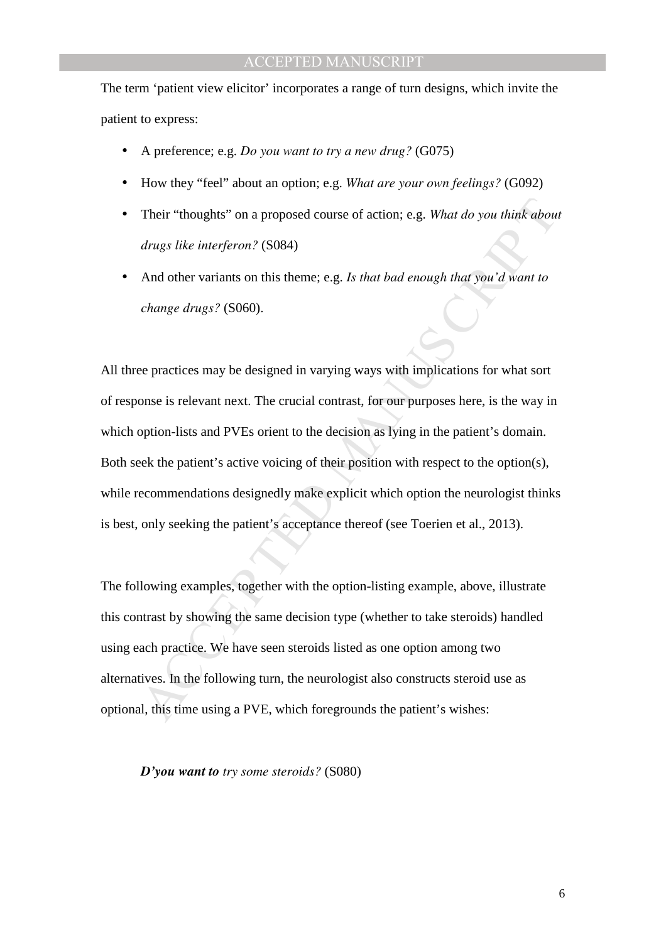The term 'patient view elicitor' incorporates a range of turn designs, which invite the patient to express:

- A preference; e.g. *Do you want to try a new drug?* (G075)
- How they "feel" about an option; e.g. *What are your own feelings?* (G092)
- Their "thoughts" on a proposed course of action; e.g. *What do you think about drugs like interferon?* (S084)
- And other variants on this theme; e.g. *Is that bad enough that you'd want to change drugs?* (S060).

Their "thoughts" on a proposed course of action; e.g. What do you think about<br>drugs like interferon? (S084)<br>And other variants on this theme; e.g. Is that bad enough that you'd want to<br>change drugs? (S060).<br>See practices m All three practices may be designed in varying ways with implications for what sort of response is relevant next. The crucial contrast, for our purposes here, is the way in which option-lists and PVEs orient to the decision as lying in the patient's domain. Both seek the patient's active voicing of their position with respect to the option(s), while recommendations designedly make explicit which option the neurologist thinks is best, only seeking the patient's acceptance thereof (see Toerien et al., 2013).

The following examples, together with the option-listing example, above, illustrate this contrast by showing the same decision type (whether to take steroids) handled using each practice. We have seen steroids listed as one option among two alternatives. In the following turn, the neurologist also constructs steroid use as optional, this time using a PVE, which foregrounds the patient's wishes:

*D'you want to try some steroids?* (S080)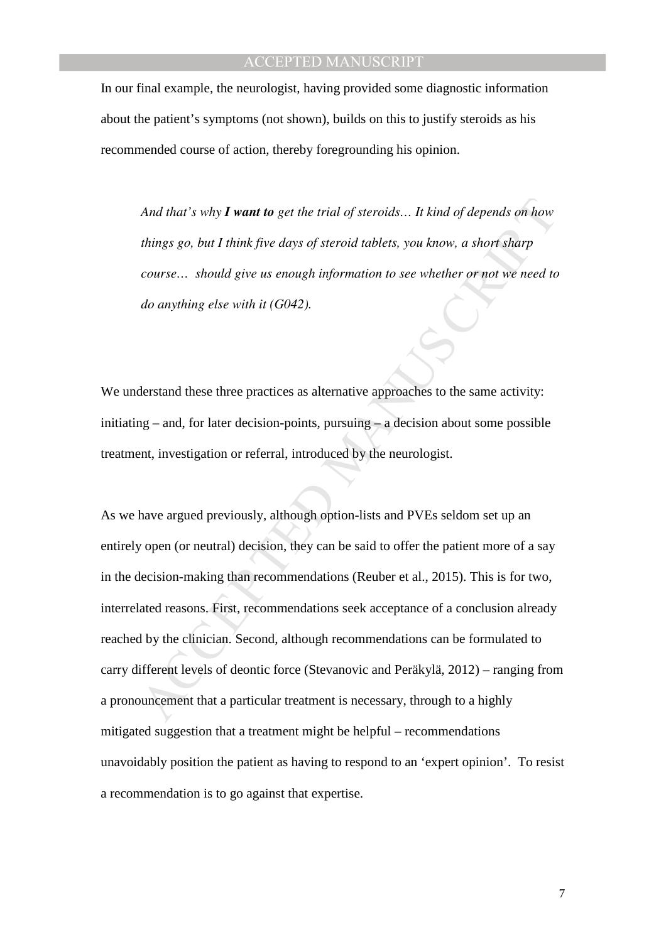In our final example, the neurologist, having provided some diagnostic information about the patient's symptoms (not shown), builds on this to justify steroids as his recommended course of action, thereby foregrounding his opinion.

*And that's why I want to get the trial of steroids… It kind of depends on how things go, but I think five days of steroid tablets, you know, a short sharp course… should give us enough information to see whether or not we need to do anything else with it (G042).* 

We understand these three practices as alternative approaches to the same activity: initiating – and, for later decision-points, pursuing – a decision about some possible treatment, investigation or referral, introduced by the neurologist.

And that's why **I want to** get the trial of steroids... It kind of depends on how<br>things go, but I think five days of steroid tablets, you know, a short sharp<br>course... should give us enough information to see whether or n As we have argued previously, although option-lists and PVEs seldom set up an entirely open (or neutral) decision, they can be said to offer the patient more of a say in the decision-making than recommendations (Reuber et al., 2015). This is for two, interrelated reasons. First, recommendations seek acceptance of a conclusion already reached by the clinician. Second, although recommendations can be formulated to carry different levels of deontic force (Stevanovic and Peräkylä, 2012) – ranging from a pronouncement that a particular treatment is necessary, through to a highly mitigated suggestion that a treatment might be helpful – recommendations unavoidably position the patient as having to respond to an 'expert opinion'. To resist a recommendation is to go against that expertise.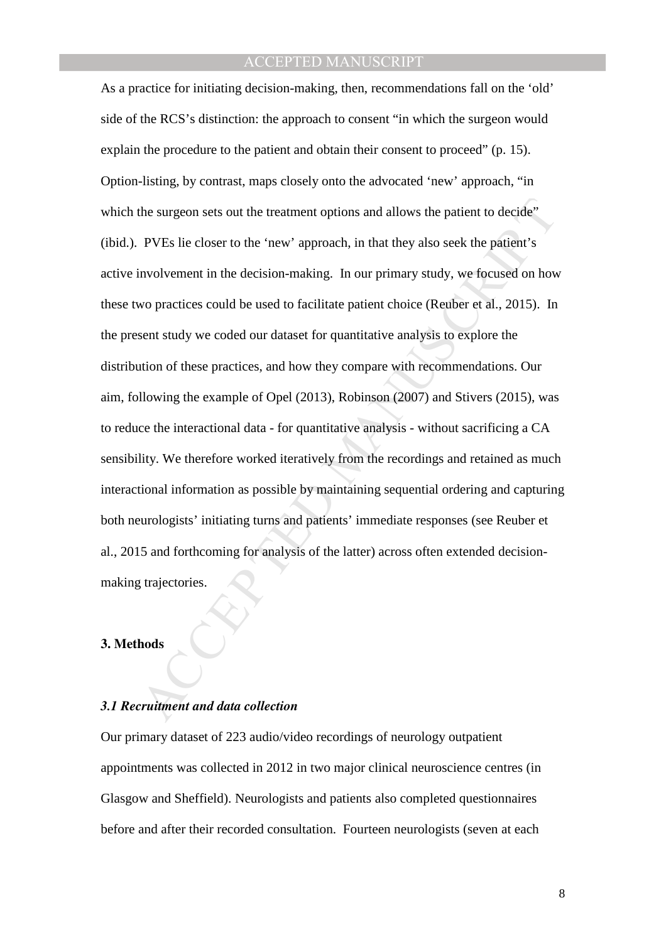the surgeon sets out the treatment options and allows the patient to decide"<br>
PVEs lie closer to the 'new' approach, in that they also seek the patient's<br>
involvement in the decision-making. In our primary study, we focuse As a practice for initiating decision-making, then, recommendations fall on the 'old' side of the RCS's distinction: the approach to consent "in which the surgeon would explain the procedure to the patient and obtain their consent to proceed" (p. 15). Option-listing, by contrast, maps closely onto the advocated 'new' approach, "in which the surgeon sets out the treatment options and allows the patient to decide" (ibid.). PVEs lie closer to the 'new' approach, in that they also seek the patient's active involvement in the decision-making. In our primary study, we focused on how these two practices could be used to facilitate patient choice (Reuber et al., 2015). In the present study we coded our dataset for quantitative analysis to explore the distribution of these practices, and how they compare with recommendations. Our aim, following the example of Opel (2013), Robinson (2007) and Stivers (2015), was to reduce the interactional data - for quantitative analysis - without sacrificing a CA sensibility. We therefore worked iteratively from the recordings and retained as much interactional information as possible by maintaining sequential ordering and capturing both neurologists' initiating turns and patients' immediate responses (see Reuber et al., 2015 and forthcoming for analysis of the latter) across often extended decisionmaking trajectories.

#### **3. Methods**

## *3.1 Recruitment and data collection*

Our primary dataset of 223 audio/video recordings of neurology outpatient appointments was collected in 2012 in two major clinical neuroscience centres (in Glasgow and Sheffield). Neurologists and patients also completed questionnaires before and after their recorded consultation. Fourteen neurologists (seven at each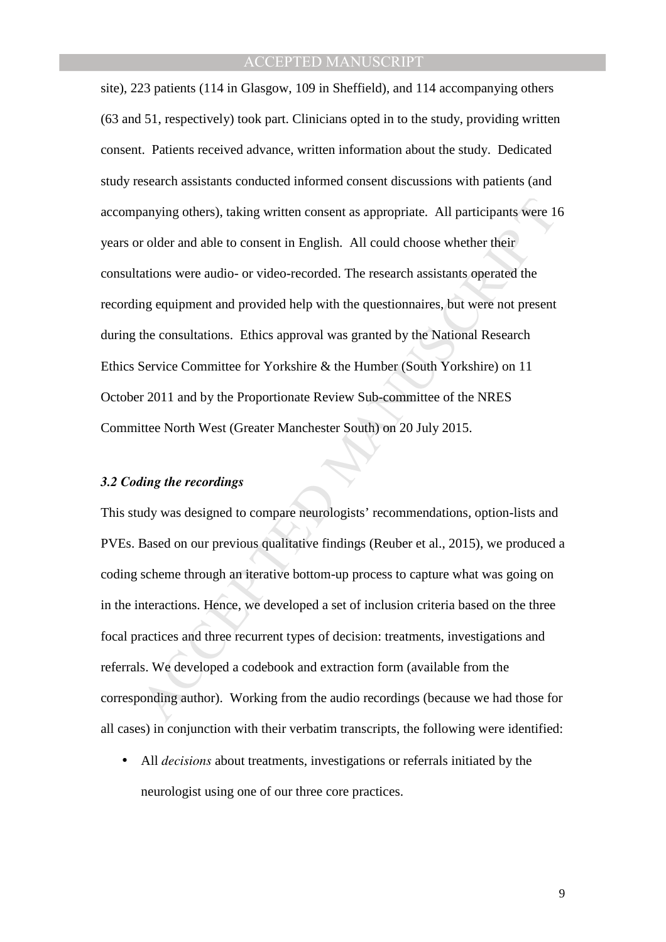panying others), taking written consent as appropriate. All participants were 16 r older and able to consent in English. All could choose whether their ations were audio- or video-recorded. The research assistants operated site), 223 patients (114 in Glasgow, 109 in Sheffield), and 114 accompanying others (63 and 51, respectively) took part. Clinicians opted in to the study, providing written consent. Patients received advance, written information about the study. Dedicated study research assistants conducted informed consent discussions with patients (and accompanying others), taking written consent as appropriate. All participants were 16 years or older and able to consent in English. All could choose whether their consultations were audio- or video-recorded. The research assistants operated the recording equipment and provided help with the questionnaires, but were not present during the consultations. Ethics approval was granted by the National Research Ethics Service Committee for Yorkshire & the Humber (South Yorkshire) on 11 October 2011 and by the Proportionate Review Sub-committee of the NRES Committee North West (Greater Manchester South) on 20 July 2015.

#### *3.2 Coding the recordings*

This study was designed to compare neurologists' recommendations, option-lists and PVEs. Based on our previous qualitative findings (Reuber et al., 2015), we produced a coding scheme through an iterative bottom-up process to capture what was going on in the interactions. Hence, we developed a set of inclusion criteria based on the three focal practices and three recurrent types of decision: treatments, investigations and referrals. We developed a codebook and extraction form (available from the corresponding author). Working from the audio recordings (because we had those for all cases) in conjunction with their verbatim transcripts, the following were identified:

• All *decisions* about treatments, investigations or referrals initiated by the neurologist using one of our three core practices.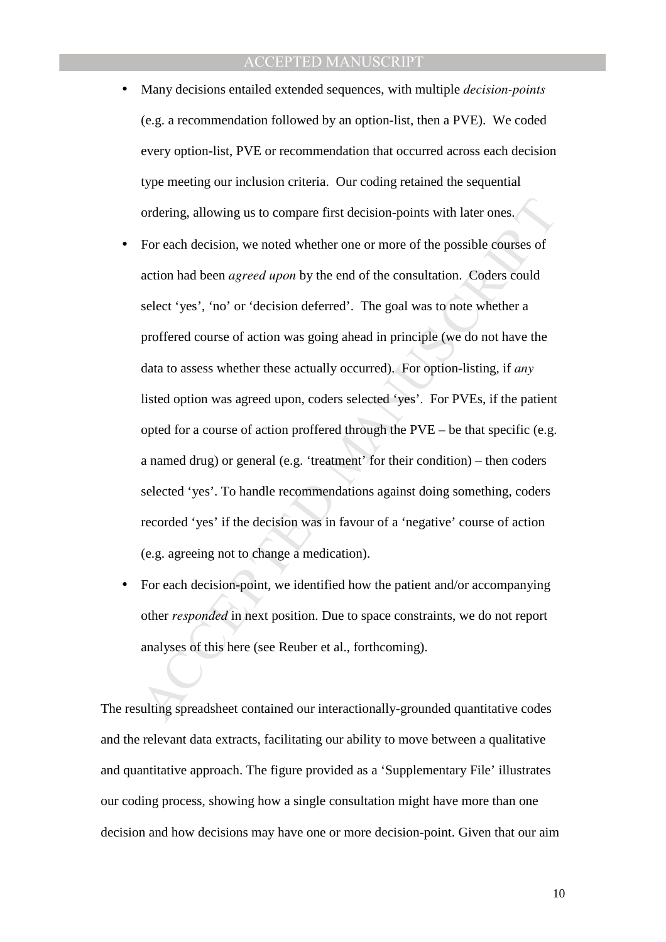- Many decisions entailed extended sequences, with multiple *decision-points*  (e.g. a recommendation followed by an option-list, then a PVE).We coded every option-list, PVE or recommendation that occurred across each decision type meeting our inclusion criteria. Our coding retained the sequential ordering, allowing us to compare first decision-points with later ones.
- ordering, allowing us to compare first decision-points with later ones.<br>For each decision, we noted whether one or more of the possible courses of<br>action had been *agreed upon* by the end of the consultation. Coders could • For each decision, we noted whether one or more of the possible courses of action had been *agreed upon* by the end of the consultation. Coders could select 'yes', 'no' or 'decision deferred'. The goal was to note whether a proffered course of action was going ahead in principle (we do not have the data to assess whether these actually occurred). For option-listing, if *any* listed option was agreed upon, coders selected 'yes'. For PVEs, if the patient opted for a course of action proffered through the PVE – be that specific (e.g. a named drug) or general (e.g. 'treatment' for their condition) – then coders selected 'yes'. To handle recommendations against doing something, coders recorded 'yes' if the decision was in favour of a 'negative' course of action (e.g. agreeing not to change a medication).
- For each decision-point, we identified how the patient and/or accompanying other *responded* in next position. Due to space constraints, we do not report analyses of this here (see Reuber et al., forthcoming).

The resulting spreadsheet contained our interactionally-grounded quantitative codes and the relevant data extracts, facilitating our ability to move between a qualitative and quantitative approach. The figure provided as a 'Supplementary File' illustrates our coding process, showing how a single consultation might have more than one decision and how decisions may have one or more decision-point. Given that our aim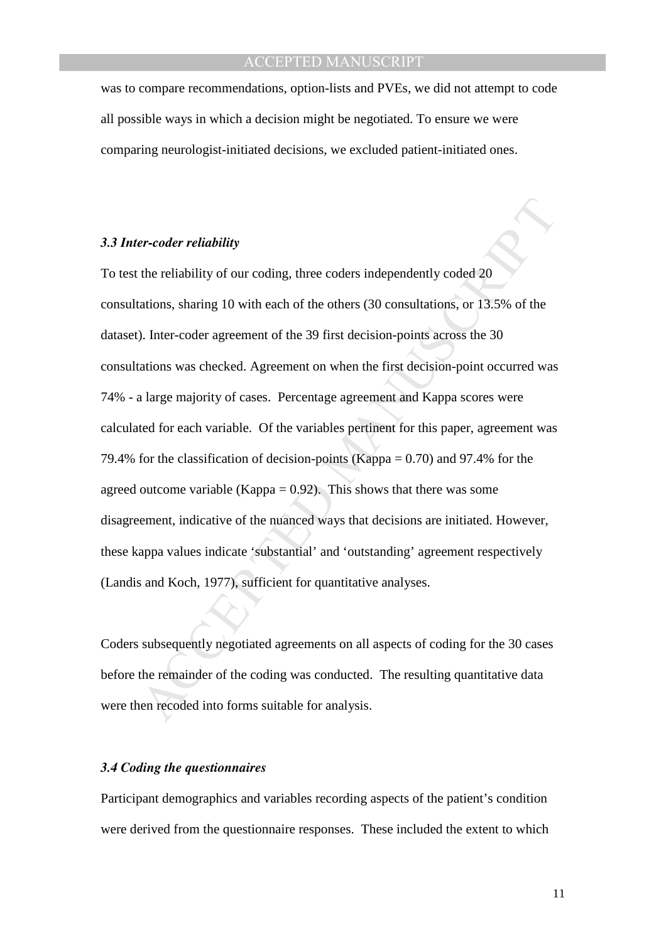was to compare recommendations, option-lists and PVEs, we did not attempt to code all possible ways in which a decision might be negotiated. To ensure we were comparing neurologist-initiated decisions, we excluded patient-initiated ones.

## *3.3 Inter-coder reliability*

er-coder reliability<br>the reliability of our coding, three coders independently coded 20<br>ations, sharing 10 with each of the others (30 consultations, or 13.5% of the<br>). Inter-coder agreement of the 39 first decision-points To test the reliability of our coding, three coders independently coded 20 consultations, sharing 10 with each of the others (30 consultations, or 13.5% of the dataset). Inter-coder agreement of the 39 first decision-points across the 30 consultations was checked. Agreement on when the first decision-point occurred was 74% - a large majority of cases. Percentage agreement and Kappa scores were calculated for each variable. Of the variables pertinent for this paper, agreement was 79.4% for the classification of decision-points (Kappa = 0.70) and 97.4% for the agreed outcome variable (Kappa =  $0.92$ ). This shows that there was some disagreement, indicative of the nuanced ways that decisions are initiated. However, these kappa values indicate 'substantial' and 'outstanding' agreement respectively (Landis and Koch, 1977), sufficient for quantitative analyses.

Coders subsequently negotiated agreements on all aspects of coding for the 30 cases before the remainder of the coding was conducted. The resulting quantitative data were then recoded into forms suitable for analysis.

## *3.4 Coding the questionnaires*

Participant demographics and variables recording aspects of the patient's condition were derived from the questionnaire responses. These included the extent to which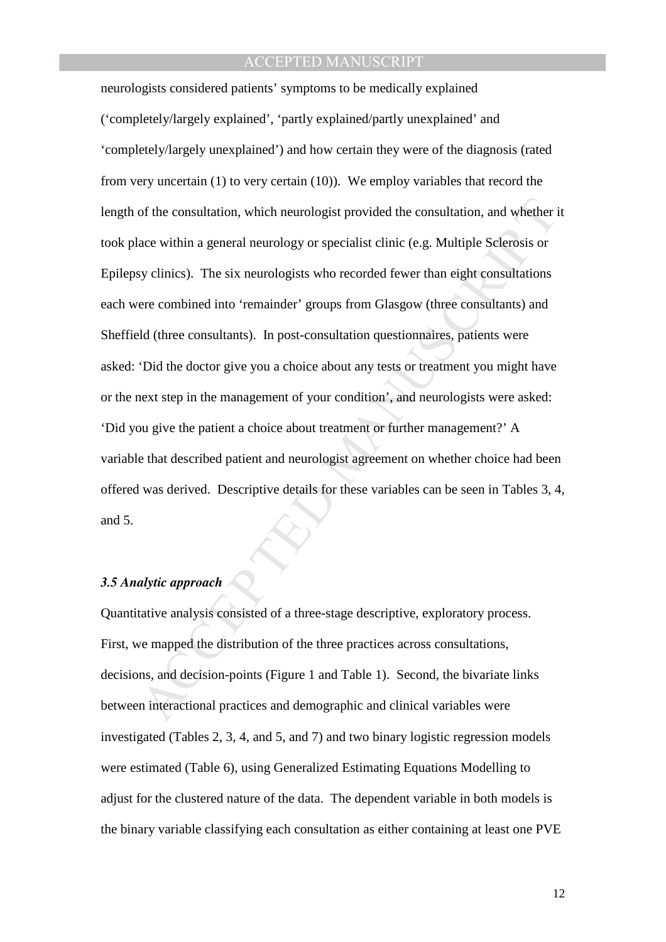of the consultation, which neurologist provided the consultation, and whether it<br>ace within a general neurology or specialist clinic (e.g. Multiple Sclerosis or<br>sy clinics). The six neurologists who recorded fewer than eig neurologists considered patients' symptoms to be medically explained ('completely/largely explained', 'partly explained/partly unexplained' and 'completely/largely unexplained') and how certain they were of the diagnosis (rated from very uncertain (1) to very certain (10)). We employ variables that record the length of the consultation, which neurologist provided the consultation, and whether it took place within a general neurology or specialist clinic (e.g. Multiple Sclerosis or Epilepsy clinics). The six neurologists who recorded fewer than eight consultations each were combined into 'remainder' groups from Glasgow (three consultants) and Sheffield (three consultants). In post-consultation questionnaires, patients were asked: 'Did the doctor give you a choice about any tests or treatment you might have or the next step in the management of your condition', and neurologists were asked: 'Did you give the patient a choice about treatment or further management?' A variable that described patient and neurologist agreement on whether choice had been offered was derived. Descriptive details for these variables can be seen in Tables 3, 4, and 5.

### *3.5 Analytic approach*

Quantitative analysis consisted of a three-stage descriptive, exploratory process. First, we mapped the distribution of the three practices across consultations, decisions, and decision-points (Figure 1 and Table 1). Second, the bivariate links between interactional practices and demographic and clinical variables were investigated (Tables 2, 3, 4, and 5, and 7) and two binary logistic regression models were estimated (Table 6), using Generalized Estimating Equations Modelling to adjust for the clustered nature of the data. The dependent variable in both models is the binary variable classifying each consultation as either containing at least one PVE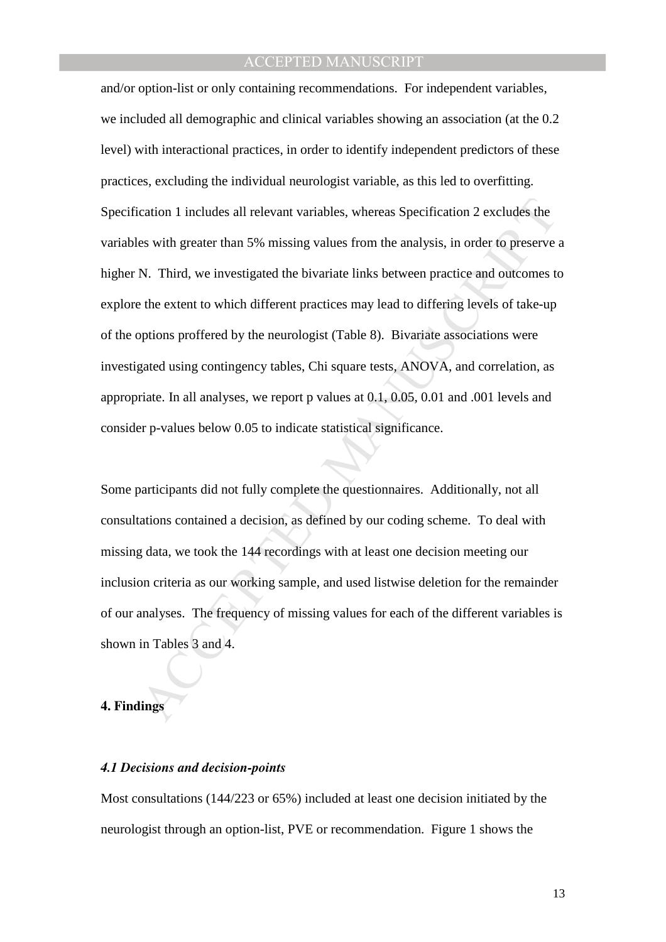cation 1 includes all relevant variables, whereas Specification 2 excludes the<br>es with greater than 5% missing values from the analysis, in order to preserve a<br>N. Third, we investigated the bivariate links between practice and/or option-list or only containing recommendations. For independent variables, we included all demographic and clinical variables showing an association (at the 0.2 level) with interactional practices, in order to identify independent predictors of these practices, excluding the individual neurologist variable, as this led to overfitting. Specification 1 includes all relevant variables, whereas Specification 2 excludes the variables with greater than 5% missing values from the analysis, in order to preserve a higher N. Third, we investigated the bivariate links between practice and outcomes to explore the extent to which different practices may lead to differing levels of take-up of the options proffered by the neurologist (Table 8). Bivariate associations were investigated using contingency tables, Chi square tests, ANOVA, and correlation, as appropriate. In all analyses, we report p values at 0.1, 0.05, 0.01 and .001 levels and consider p-values below 0.05 to indicate statistical significance.

Some participants did not fully complete the questionnaires. Additionally, not all consultations contained a decision, as defined by our coding scheme. To deal with missing data, we took the 144 recordings with at least one decision meeting our inclusion criteria as our working sample, and used listwise deletion for the remainder of our analyses. The frequency of missing values for each of the different variables is shown in Tables 3 and 4.

#### **4. Findings**

#### *4.1 Decisions and decision-points*

Most consultations (144/223 or 65%) included at least one decision initiated by the neurologist through an option-list, PVE or recommendation. Figure 1 shows the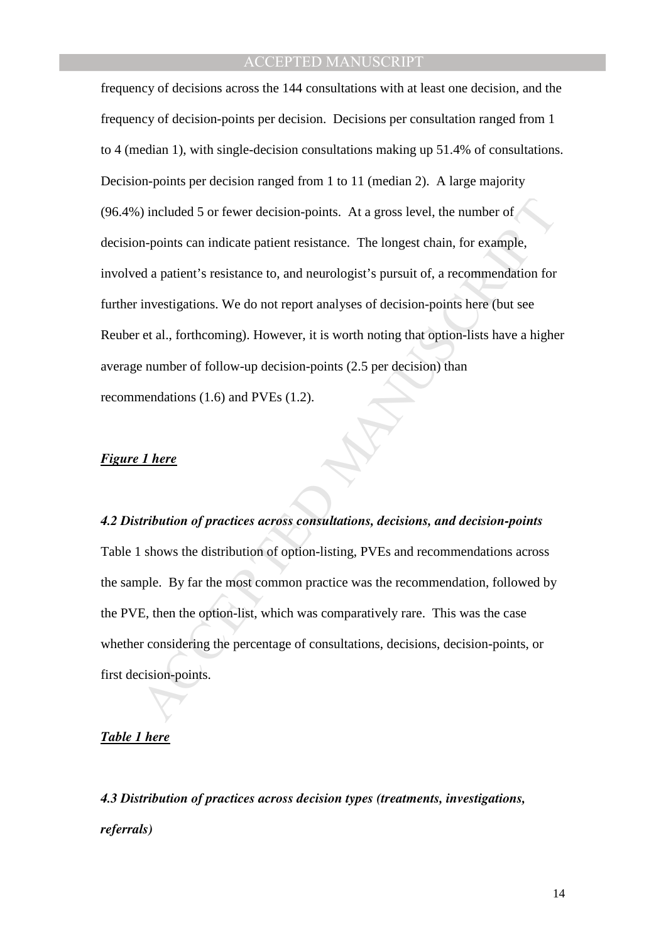%) included 5 or fewer decision-points. At a gross level, the number of<br>
n-points can indicate patient resistance. The longest chain, for example,<br>
d a patient's resistance to, and neurologist's pursuit of, a recommendati frequency of decisions across the 144 consultations with at least one decision, and the frequency of decision-points per decision. Decisions per consultation ranged from 1 to 4 (median 1), with single-decision consultations making up 51.4% of consultations. Decision-points per decision ranged from 1 to 11 (median 2). A large majority (96.4%) included 5 or fewer decision-points. At a gross level, the number of decision-points can indicate patient resistance. The longest chain, for example, involved a patient's resistance to, and neurologist's pursuit of, a recommendation for further investigations. We do not report analyses of decision-points here (but see Reuber et al., forthcoming). However, it is worth noting that option-lists have a higher average number of follow-up decision-points (2.5 per decision) than recommendations (1.6) and PVEs (1.2).

#### *Figure 1 here*

#### *4.2 Distribution of practices across consultations, decisions, and decision-points*

Table 1 shows the distribution of option-listing, PVEs and recommendations across the sample. By far the most common practice was the recommendation, followed by the PVE, then the option-list, which was comparatively rare. This was the case whether considering the percentage of consultations, decisions, decision-points, or first decision-points.

#### *Table 1 here*

*4.3 Distribution of practices across decision types (treatments, investigations, referrals)*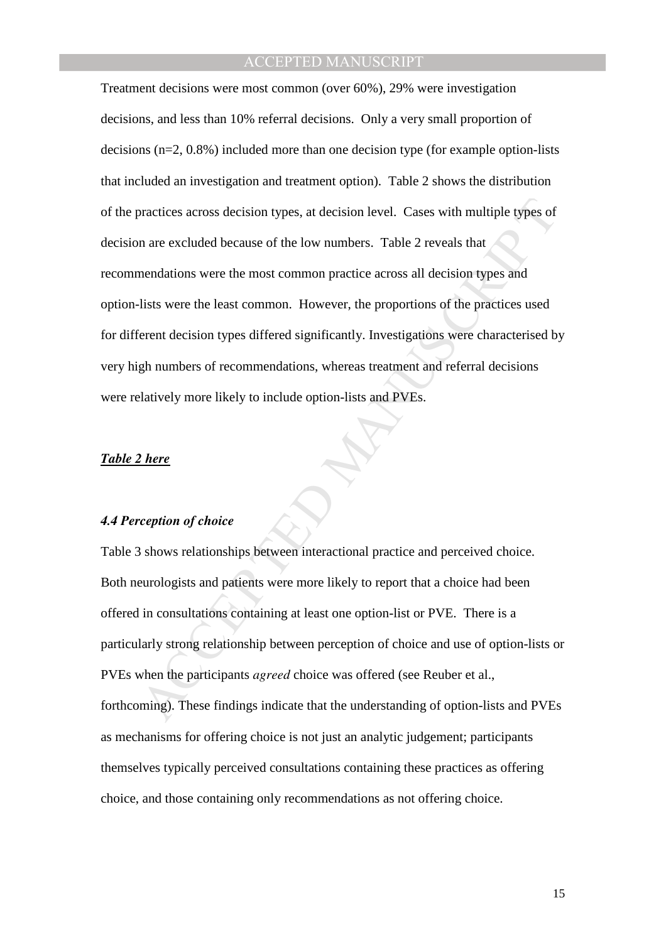practices across decision types, at decision level. Cases with multiple types of<br>a are excluded because of the low numbers. Table 2 reveals that<br>mendations were the most common practice across all decision types and<br>lists Treatment decisions were most common (over 60%), 29% were investigation decisions, and less than 10% referral decisions. Only a very small proportion of decisions (n=2, 0.8%) included more than one decision type (for example option-lists that included an investigation and treatment option). Table 2 shows the distribution of the practices across decision types, at decision level. Cases with multiple types of decision are excluded because of the low numbers. Table 2 reveals that recommendations were the most common practice across all decision types and option-lists were the least common. However, the proportions of the practices used for different decision types differed significantly. Investigations were characterised by very high numbers of recommendations, whereas treatment and referral decisions were relatively more likely to include option-lists and PVEs.

#### *Table 2 here*

### *4.4 Perception of choice*

Table 3 shows relationships between interactional practice and perceived choice. Both neurologists and patients were more likely to report that a choice had been offered in consultations containing at least one option-list or PVE. There is a particularly strong relationship between perception of choice and use of option-lists or PVEs when the participants *agreed* choice was offered (see Reuber et al., forthcoming). These findings indicate that the understanding of option-lists and PVEs as mechanisms for offering choice is not just an analytic judgement; participants themselves typically perceived consultations containing these practices as offering choice, and those containing only recommendations as not offering choice.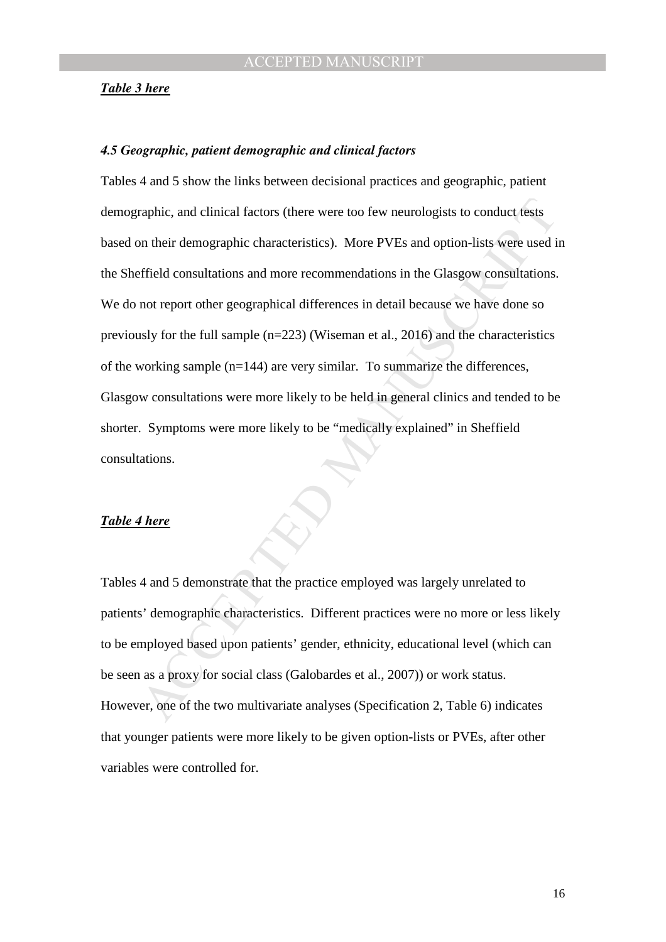#### *Table 3 here*

#### *4.5 Geographic, patient demographic and clinical factors*

raphic, and clinical factors (there were too few neurologists to conduct tests<br>on their demographic characteristics). More PVEs and option-lists were used in<br>effield consultations and more recommendations in the Glasgow co Tables 4 and 5 show the links between decisional practices and geographic, patient demographic, and clinical factors (there were too few neurologists to conduct tests based on their demographic characteristics). More PVEs and option-lists were used in the Sheffield consultations and more recommendations in the Glasgow consultations. We do not report other geographical differences in detail because we have done so previously for the full sample (n=223) (Wiseman et al., 2016) and the characteristics of the working sample (n=144) are very similar. To summarize the differences, Glasgow consultations were more likely to be held in general clinics and tended to be shorter. Symptoms were more likely to be "medically explained" in Sheffield consultations.

#### *Table 4 here*

Tables 4 and 5 demonstrate that the practice employed was largely unrelated to patients' demographic characteristics. Different practices were no more or less likely to be employed based upon patients' gender, ethnicity, educational level (which can be seen as a proxy for social class (Galobardes et al., 2007)) or work status. However, one of the two multivariate analyses (Specification 2, Table 6) indicates that younger patients were more likely to be given option-lists or PVEs, after other variables were controlled for.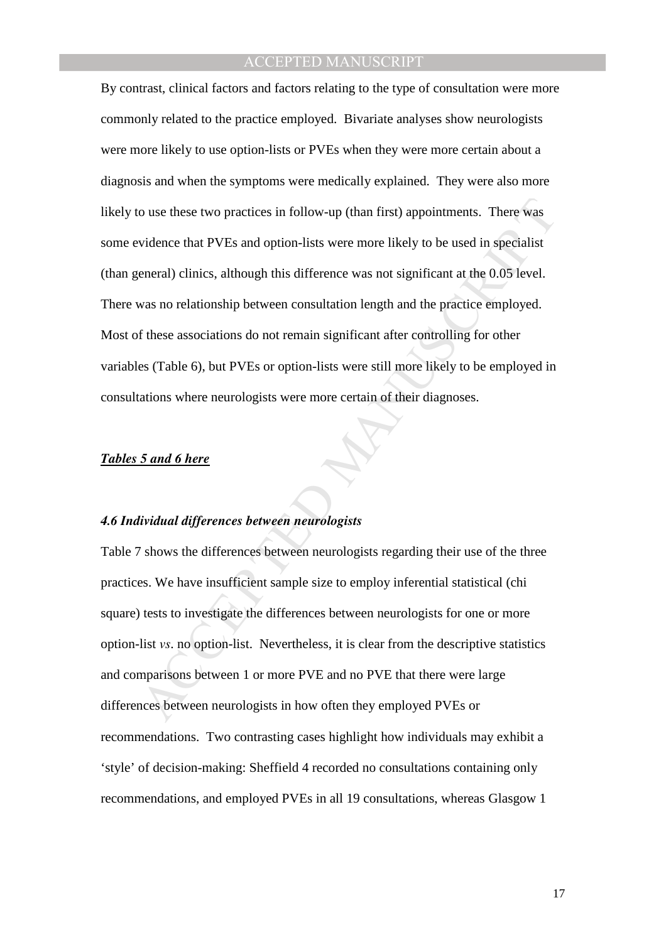o use these two practices in follow-up (than first) appointments. There was<br>vidence that PVEs and option-lists were more likely to be used in specialist<br>eneral) clinics, although this difference was not significant at the By contrast, clinical factors and factors relating to the type of consultation were more commonly related to the practice employed. Bivariate analyses show neurologists were more likely to use option-lists or PVEs when they were more certain about a diagnosis and when the symptoms were medically explained. They were also more likely to use these two practices in follow-up (than first) appointments. There was some evidence that PVEs and option-lists were more likely to be used in specialist (than general) clinics, although this difference was not significant at the 0.05 level. There was no relationship between consultation length and the practice employed. Most of these associations do not remain significant after controlling for other variables (Table 6), but PVEs or option-lists were still more likely to be employed in consultations where neurologists were more certain of their diagnoses.

#### *Tables 5 and 6 here*

#### *4.6 Individual differences between neurologists*

Table 7 shows the differences between neurologists regarding their use of the three practices. We have insufficient sample size to employ inferential statistical (chi square) tests to investigate the differences between neurologists for one or more option-list *vs*. no option-list. Nevertheless, it is clear from the descriptive statistics and comparisons between 1 or more PVE and no PVE that there were large differences between neurologists in how often they employed PVEs or recommendations. Two contrasting cases highlight how individuals may exhibit a 'style' of decision-making: Sheffield 4 recorded no consultations containing only recommendations, and employed PVEs in all 19 consultations, whereas Glasgow 1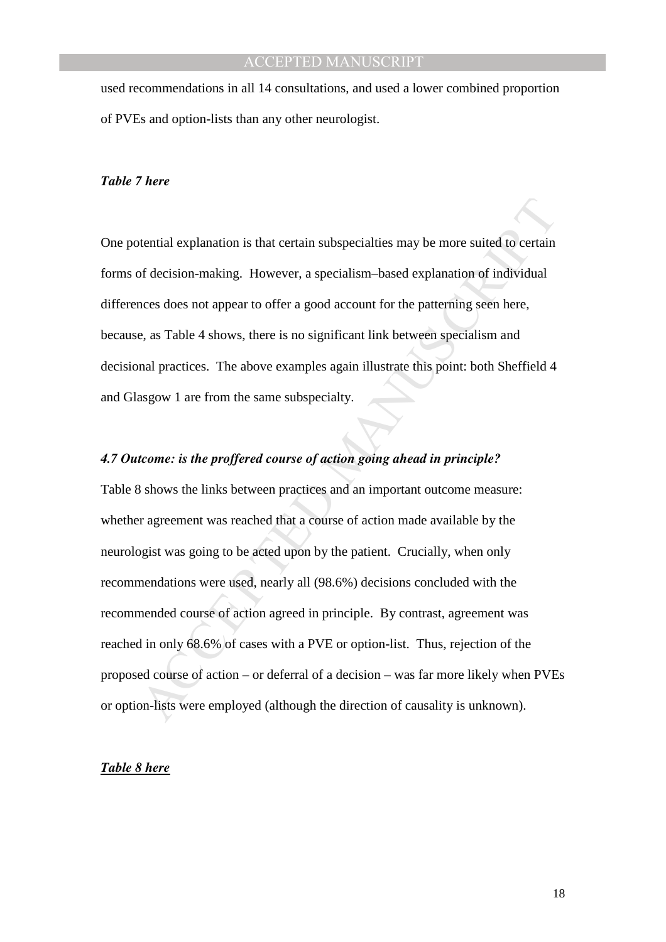used recommendations in all 14 consultations, and used a lower combined proportion of PVEs and option-lists than any other neurologist.

### *Table 7 here*

One potential explanation is that certain subspecialties may be more suited to certain forms of decision-making. However, a specialism–based explanation of individual differences does not appear to offer a good account for the patterning seen here, because, as Table 4 shows, there is no significant link between specialism and decisional practices. The above examples again illustrate this point: both Sheffield 4 and Glasgow 1 are from the same subspecialty.

## *4.7 Outcome: is the proffered course of action going ahead in principle?*

beta description is that certain subspecialties may be more suited to certain<br>of decision-making. However, a specialism-based explanation of individual<br>nees does not appear to offer a good account for the patterning seen h Table 8 shows the links between practices and an important outcome measure: whether agreement was reached that a course of action made available by the neurologist was going to be acted upon by the patient. Crucially, when only recommendations were used, nearly all (98.6%) decisions concluded with the recommended course of action agreed in principle. By contrast, agreement was reached in only 68.6% of cases with a PVE or option-list. Thus, rejection of the proposed course of action – or deferral of a decision – was far more likely when PVEs or option-lists were employed (although the direction of causality is unknown).

#### *Table 8 here*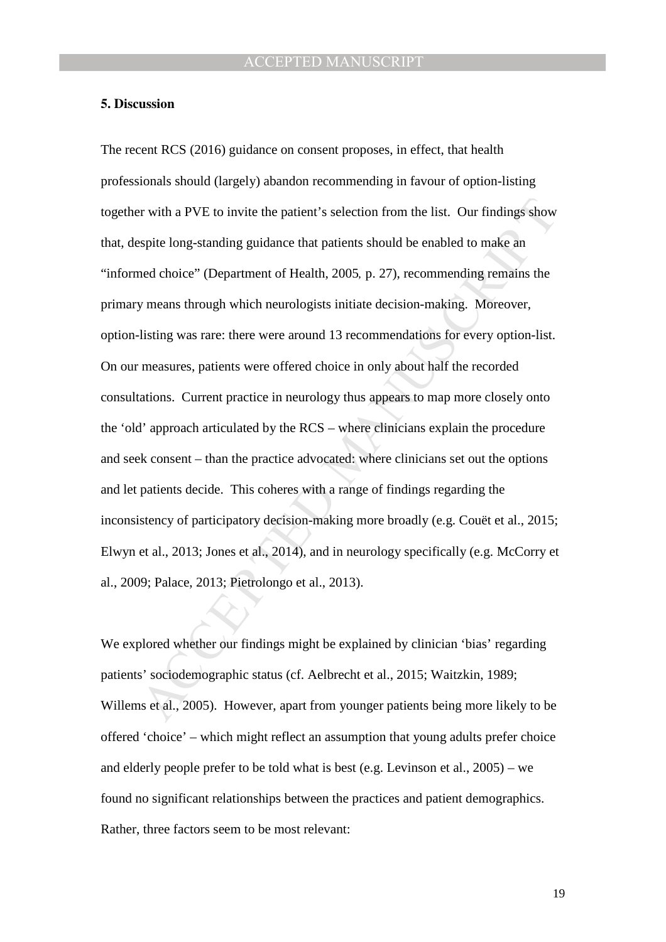#### **5. Discussion**

er with a PVE to invite the patient's selection from the list. Our findings show<br>spite long-standing guidance that patients should be enabled to make an<br>ned choice" (Department of Health, 2005, p. 27), recommending remains The recent RCS (2016) guidance on consent proposes, in effect, that health professionals should (largely) abandon recommending in favour of option-listing together with a PVE to invite the patient's selection from the list. Our findings show that, despite long-standing guidance that patients should be enabled to make an "informed choice" (Department of Health, 2005*,* p. 27), recommending remains the primary means through which neurologists initiate decision-making. Moreover, option-listing was rare: there were around 13 recommendations for every option-list. On our measures, patients were offered choice in only about half the recorded consultations. Current practice in neurology thus appears to map more closely onto the 'old' approach articulated by the RCS – where clinicians explain the procedure and seek consent – than the practice advocated: where clinicians set out the options and let patients decide. This coheres with a range of findings regarding the inconsistency of participatory decision-making more broadly (e.g. Couët et al., 2015; Elwyn et al., 2013; Jones et al., 2014), and in neurology specifically (e.g. McCorry et al., 2009; Palace, 2013; Pietrolongo et al., 2013).

We explored whether our findings might be explained by clinician 'bias' regarding patients' sociodemographic status (cf. Aelbrecht et al., 2015; Waitzkin, 1989; Willems et al., 2005). However, apart from younger patients being more likely to be offered 'choice' – which might reflect an assumption that young adults prefer choice and elderly people prefer to be told what is best (e.g. Levinson et al., 2005) – we found no significant relationships between the practices and patient demographics. Rather, three factors seem to be most relevant: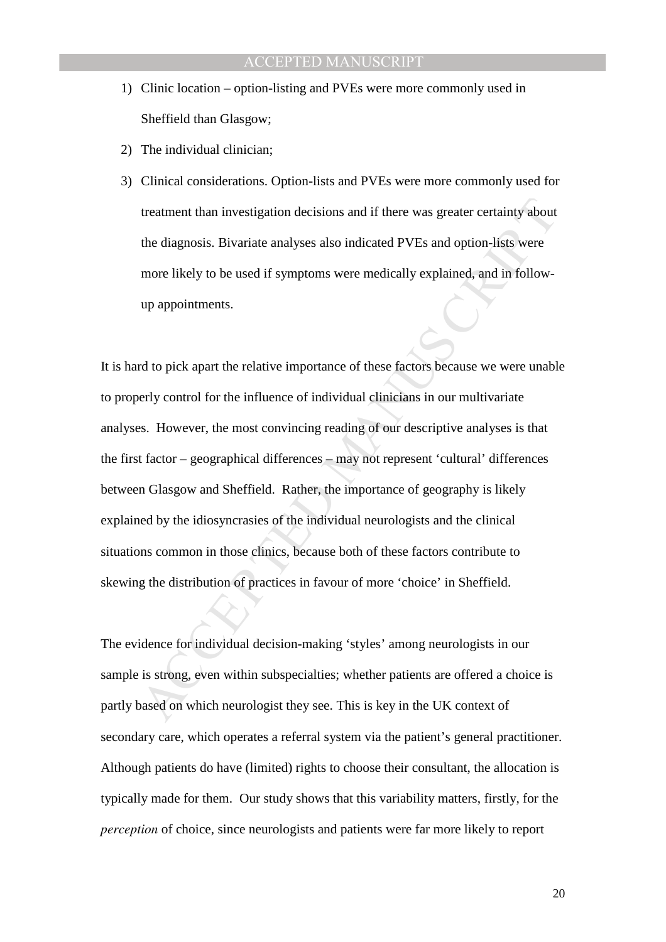- 1) Clinic location option-listing and PVEs were more commonly used in Sheffield than Glasgow;
- 2) The individual clinician;
- 3) Clinical considerations. Option-lists and PVEs were more commonly used for treatment than investigation decisions and if there was greater certainty about the diagnosis. Bivariate analyses also indicated PVEs and option-lists were more likely to be used if symptoms were medically explained, and in followup appointments.

treatment than investigation decisions and if there was greater certainty about<br>the diagnosis. Bivariate analyses also indicated PVEs and option-lists were<br>more likely to be used if symptoms were medically explained, and i It is hard to pick apart the relative importance of these factors because we were unable to properly control for the influence of individual clinicians in our multivariate analyses. However, the most convincing reading of our descriptive analyses is that the first factor – geographical differences – may not represent 'cultural' differences between Glasgow and Sheffield. Rather, the importance of geography is likely explained by the idiosyncrasies of the individual neurologists and the clinical situations common in those clinics, because both of these factors contribute to skewing the distribution of practices in favour of more 'choice' in Sheffield.

The evidence for individual decision-making 'styles' among neurologists in our sample is strong, even within subspecialties; whether patients are offered a choice is partly based on which neurologist they see. This is key in the UK context of secondary care, which operates a referral system via the patient's general practitioner. Although patients do have (limited) rights to choose their consultant, the allocation is typically made for them. Our study shows that this variability matters, firstly, for the *perception* of choice, since neurologists and patients were far more likely to report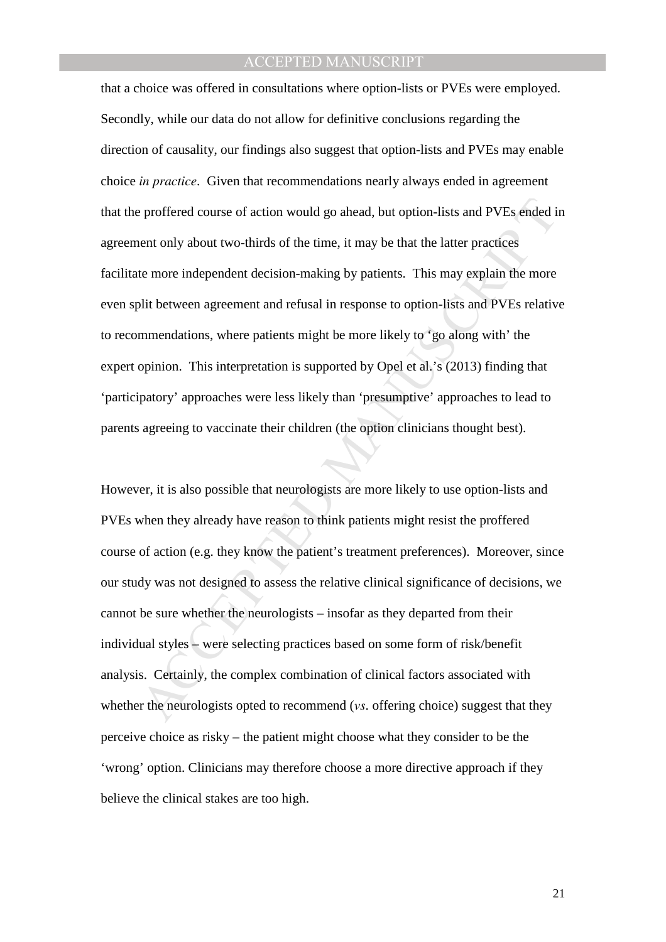by proffered course of action would go ahead, but option-lists and PVEs ended in<br>ent only about two-thirds of the time, it may be that the latter practices<br>te more independent decision-making by patients. This may explain that a choice was offered in consultations where option-lists or PVEs were employed. Secondly, while our data do not allow for definitive conclusions regarding the direction of causality, our findings also suggest that option-lists and PVEs may enable choice *in practice*. Given that recommendations nearly always ended in agreement that the proffered course of action would go ahead, but option-lists and PVEs ended in agreement only about two-thirds of the time, it may be that the latter practices facilitate more independent decision-making by patients. This may explain the more even split between agreement and refusal in response to option-lists and PVEs relative to recommendations, where patients might be more likely to 'go along with' the expert opinion. This interpretation is supported by Opel et al.'s (2013) finding that 'participatory' approaches were less likely than 'presumptive' approaches to lead to parents agreeing to vaccinate their children (the option clinicians thought best).

However, it is also possible that neurologists are more likely to use option-lists and PVEs when they already have reason to think patients might resist the proffered course of action (e.g. they know the patient's treatment preferences). Moreover, since our study was not designed to assess the relative clinical significance of decisions, we cannot be sure whether the neurologists – insofar as they departed from their individual styles – were selecting practices based on some form of risk/benefit analysis. Certainly, the complex combination of clinical factors associated with whether the neurologists opted to recommend (*vs*. offering choice) suggest that they perceive choice as risky – the patient might choose what they consider to be the 'wrong' option. Clinicians may therefore choose a more directive approach if they believe the clinical stakes are too high.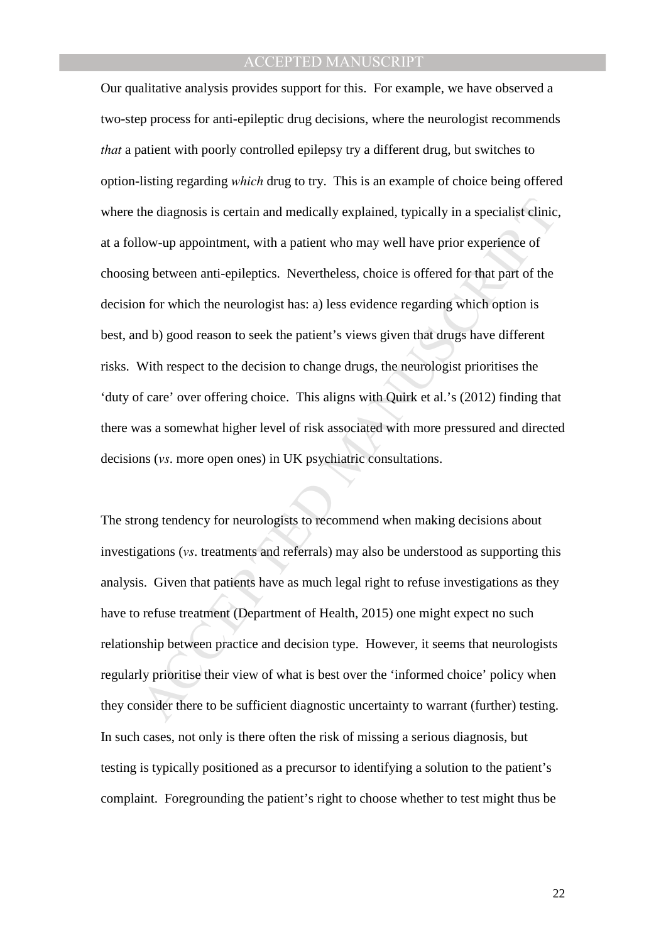the diagnosis is certain and medically explained, typically in a specialist clinic,<br>low-up appointment, with a patient who may well have prior experience of<br>g between anti-epileptics. Nevertheless, choice is offered for th Our qualitative analysis provides support for this. For example, we have observed a two-step process for anti-epileptic drug decisions, where the neurologist recommends *that* a patient with poorly controlled epilepsy try a different drug, but switches to option-listing regarding *which* drug to try. This is an example of choice being offered where the diagnosis is certain and medically explained, typically in a specialist clinic, at a follow-up appointment, with a patient who may well have prior experience of choosing between anti-epileptics. Nevertheless, choice is offered for that part of the decision for which the neurologist has: a) less evidence regarding which option is best, and b) good reason to seek the patient's views given that drugs have different risks. With respect to the decision to change drugs, the neurologist prioritises the 'duty of care' over offering choice. This aligns with Quirk et al.'s (2012) finding that there was a somewhat higher level of risk associated with more pressured and directed decisions (*vs*. more open ones) in UK psychiatric consultations.

The strong tendency for neurologists to recommend when making decisions about investigations (*vs*. treatments and referrals) may also be understood as supporting this analysis. Given that patients have as much legal right to refuse investigations as they have to refuse treatment (Department of Health, 2015) one might expect no such relationship between practice and decision type. However, it seems that neurologists regularly prioritise their view of what is best over the 'informed choice' policy when they consider there to be sufficient diagnostic uncertainty to warrant (further) testing. In such cases, not only is there often the risk of missing a serious diagnosis, but testing is typically positioned as a precursor to identifying a solution to the patient's complaint. Foregrounding the patient's right to choose whether to test might thus be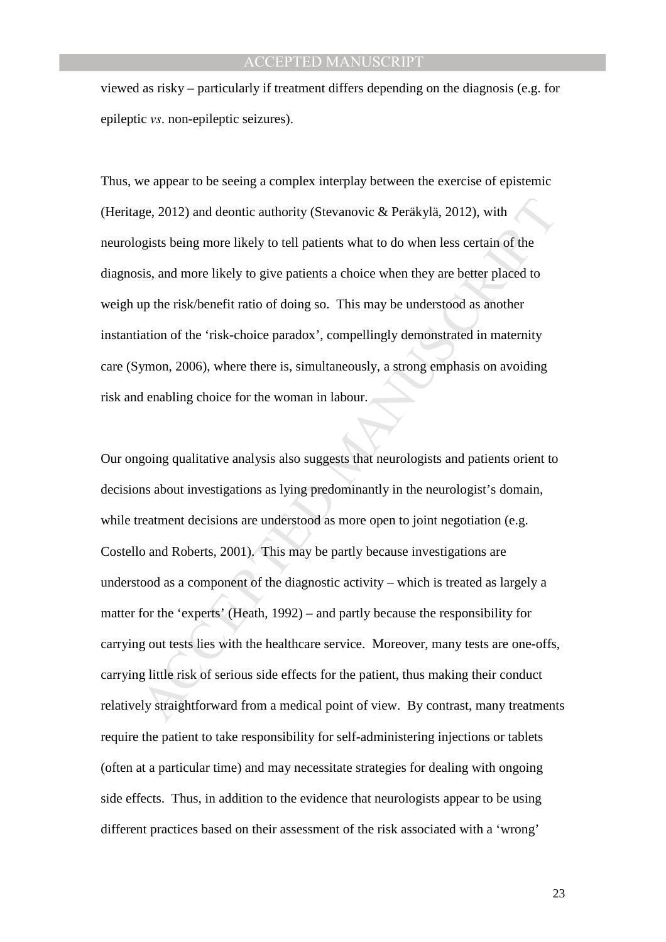viewed as risky – particularly if treatment differs depending on the diagnosis (e.g. for epileptic *vs*. non-epileptic seizures).

Thus, we appear to be seeing a complex interplay between the exercise of epistemic (Heritage, 2012) and deontic authority (Stevanovic & Peräkylä, 2012), with neurologists being more likely to tell patients what to do when less certain of the diagnosis, and more likely to give patients a choice when they are better placed to weigh up the risk/benefit ratio of doing so. This may be understood as another instantiation of the 'risk-choice paradox', compellingly demonstrated in maternity care (Symon, 2006), where there is, simultaneously, a strong emphasis on avoiding risk and enabling choice for the woman in labour.

ge, 2012) and deontic authority (Stevanovic & Peräkylä, 2012), with<br>pgists being more likely to tell patients what to do when less certain of the<br>sis, and more likely to give patients a choice when they are better placed t Our ongoing qualitative analysis also suggests that neurologists and patients orient to decisions about investigations as lying predominantly in the neurologist's domain, while treatment decisions are understood as more open to joint negotiation (e.g. Costello and Roberts, 2001). This may be partly because investigations are understood as a component of the diagnostic activity – which is treated as largely a matter for the 'experts' (Heath, 1992) – and partly because the responsibility for carrying out tests lies with the healthcare service. Moreover, many tests are one-offs, carrying little risk of serious side effects for the patient, thus making their conduct relatively straightforward from a medical point of view. By contrast, many treatments require the patient to take responsibility for self-administering injections or tablets (often at a particular time) and may necessitate strategies for dealing with ongoing side effects. Thus, in addition to the evidence that neurologists appear to be using different practices based on their assessment of the risk associated with a 'wrong'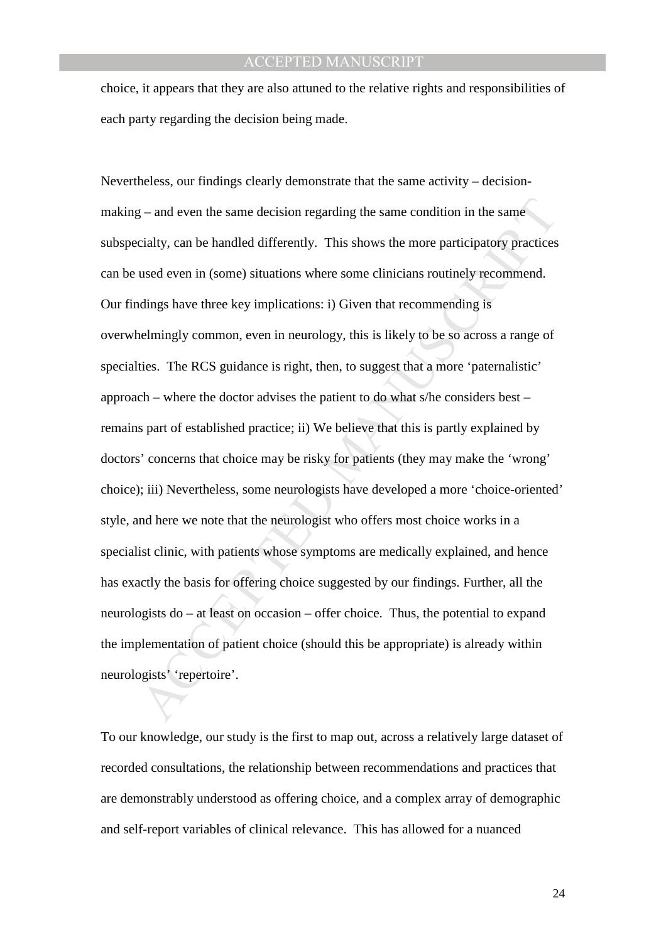choice, it appears that they are also attuned to the relative rights and responsibilities of each party regarding the decision being made.

y-and even the same decision regarding the same condition in the same<br>cialty, can be handled differently. This shows the more participatory practices<br>used even in (some) situations where some clinicians routinely recommend Nevertheless, our findings clearly demonstrate that the same activity – decisionmaking – and even the same decision regarding the same condition in the same subspecialty, can be handled differently. This shows the more participatory practices can be used even in (some) situations where some clinicians routinely recommend. Our findings have three key implications: i) Given that recommending is overwhelmingly common, even in neurology, this is likely to be so across a range of specialties. The RCS guidance is right, then, to suggest that a more 'paternalistic' approach – where the doctor advises the patient to do what s/he considers best – remains part of established practice; ii) We believe that this is partly explained by doctors' concerns that choice may be risky for patients (they may make the 'wrong' choice); iii) Nevertheless, some neurologists have developed a more 'choice-oriented' style, and here we note that the neurologist who offers most choice works in a specialist clinic, with patients whose symptoms are medically explained, and hence has exactly the basis for offering choice suggested by our findings. Further, all the neurologists do – at least on occasion – offer choice. Thus, the potential to expand the implementation of patient choice (should this be appropriate) is already within neurologists' 'repertoire'.

To our knowledge, our study is the first to map out, across a relatively large dataset of recorded consultations, the relationship between recommendations and practices that are demonstrably understood as offering choice, and a complex array of demographic and self-report variables of clinical relevance. This has allowed for a nuanced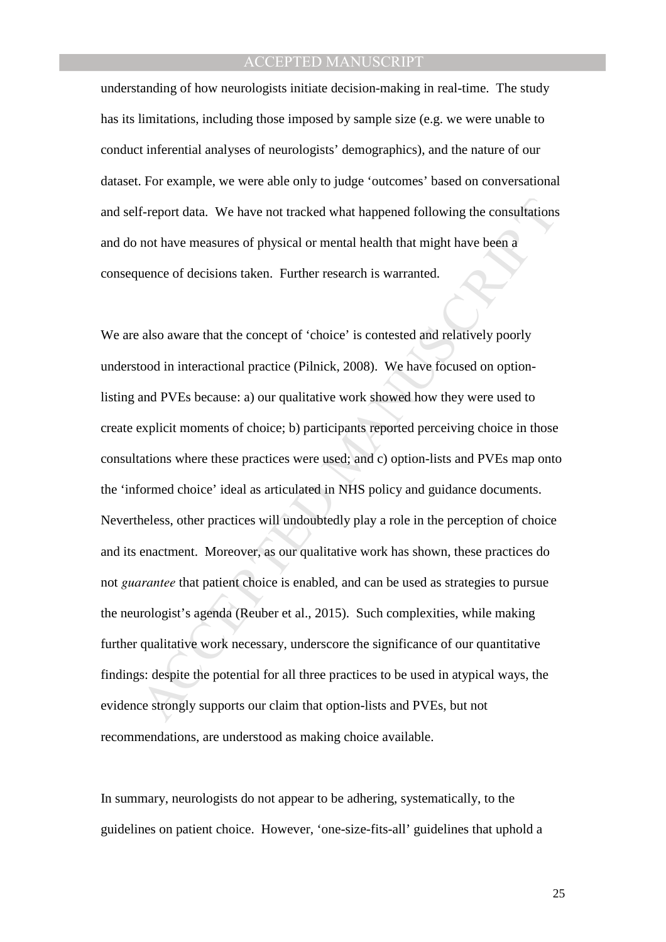understanding of how neurologists initiate decision-making in real-time. The study has its limitations, including those imposed by sample size (e.g. we were unable to conduct inferential analyses of neurologists' demographics), and the nature of our dataset. For example, we were able only to judge 'outcomes' based on conversational and self-report data. We have not tracked what happened following the consultations and do not have measures of physical or mental health that might have been a consequence of decisions taken. Further research is warranted.

f-report data. We have not tracked what happened following the consultations<br>not have measures of physical or mental health that might have been a<br>uence of decisions taken. Further research is warranted.<br>also aware that th We are also aware that the concept of 'choice' is contested and relatively poorly understood in interactional practice (Pilnick, 2008). We have focused on optionlisting and PVEs because: a) our qualitative work showed how they were used to create explicit moments of choice; b) participants reported perceiving choice in those consultations where these practices were used; and c) option-lists and PVEs map onto the 'informed choice' ideal as articulated in NHS policy and guidance documents. Nevertheless, other practices will undoubtedly play a role in the perception of choice and its enactment. Moreover, as our qualitative work has shown, these practices do not *guarantee* that patient choice is enabled, and can be used as strategies to pursue the neurologist's agenda (Reuber et al., 2015). Such complexities, while making further qualitative work necessary, underscore the significance of our quantitative findings: despite the potential for all three practices to be used in atypical ways, the evidence strongly supports our claim that option-lists and PVEs, but not recommendations, are understood as making choice available.

In summary, neurologists do not appear to be adhering, systematically, to the guidelines on patient choice. However, 'one-size-fits-all' guidelines that uphold a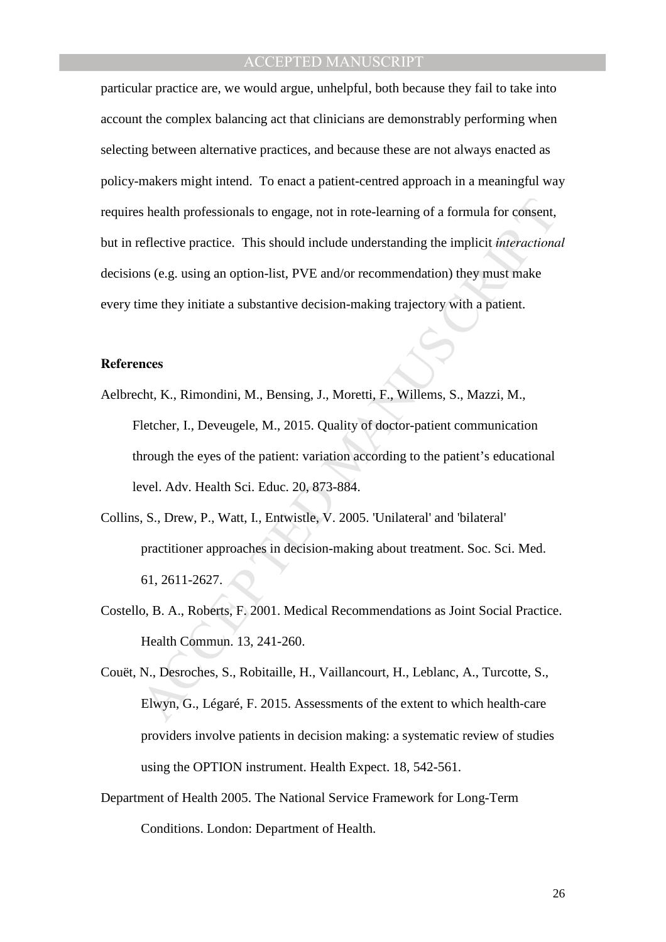s health professionals to engage, not in rote-learning of a formula for consent,<br>reflective practice. This should include understanding the implicit *interactional*<br>as (e.g. using an option-list, PVE and/or recommendation) particular practice are, we would argue, unhelpful, both because they fail to take into account the complex balancing act that clinicians are demonstrably performing when selecting between alternative practices, and because these are not always enacted as policy-makers might intend. To enact a patient-centred approach in a meaningful way requires health professionals to engage, not in rote-learning of a formula for consent, but in reflective practice. This should include understanding the implicit *interactional* decisions (e.g. using an option-list, PVE and/or recommendation) they must make every time they initiate a substantive decision-making trajectory with a patient.

#### **References**

- Aelbrecht, K., Rimondini, M., Bensing, J., Moretti, F., Willems, S., Mazzi, M., Fletcher, I., Deveugele, M., 2015. Quality of doctor-patient communication through the eyes of the patient: variation according to the patient's educational level. Adv. Health Sci. Educ. 20, 873-884.
- Collins, S., Drew, P., Watt, I., Entwistle, V. 2005. 'Unilateral' and 'bilateral' practitioner approaches in decision-making about treatment. Soc. Sci. Med. 61, 2611-2627.
- Costello, B. A., Roberts, F. 2001. Medical Recommendations as Joint Social Practice. Health Commun. 13, 241-260.
- Couët, N., Desroches, S., Robitaille, H., Vaillancourt, H., Leblanc, A., Turcotte, S., Elwyn, G., Légaré, F. 2015. Assessments of the extent to which health‐care providers involve patients in decision making: a systematic review of studies using the OPTION instrument. Health Expect. 18, 542-561.
- Department of Health 2005. The National Service Framework for Long-Term Conditions. London: Department of Health.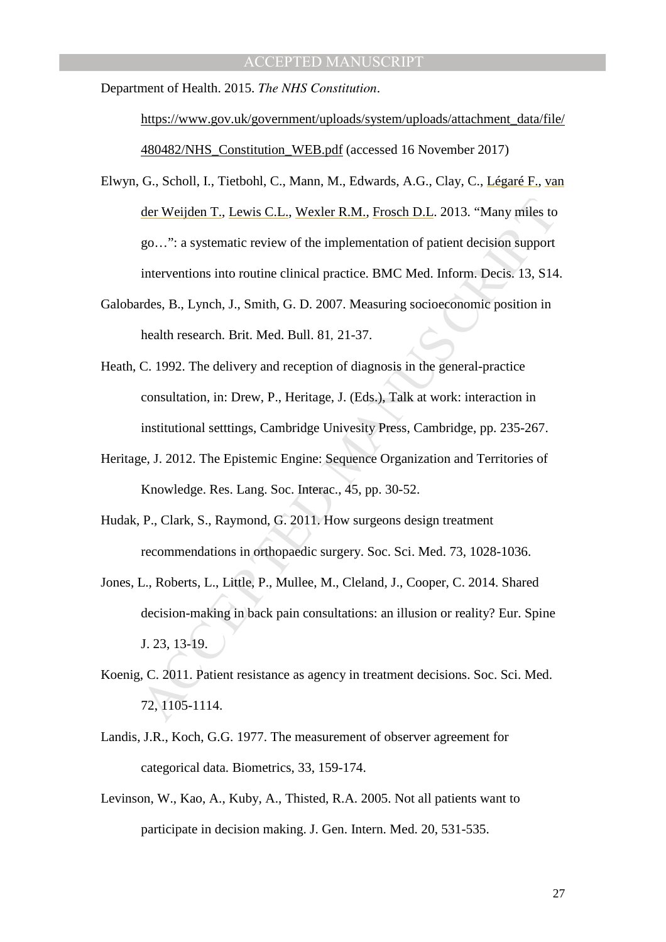Department of Health. 2015. *The NHS Constitution*.

https://www.gov.uk/government/uploads/system/uploads/attachment\_data/file/ 480482/NHS\_Constitution\_WEB.pdf (accessed 16 November 2017)

- der Weijden T., Lewis C.L., Wexler R.M., Frosch D.L. 2013. "Many miles to go...": a systematic review of the implementation of patient decision support interventions into routine clinical practice. BMC Med. Inform. Decis. Elwyn, G., Scholl, I., Tietbohl, C., Mann, M., Edwards, A.G., Clay, C., Légaré F., van der Weijden T., Lewis C.L., Wexler R.M., Frosch D.L. 2013. "Many miles to go…": a systematic review of the implementation of patient decision support interventions into routine clinical practice. BMC Med. Inform. Decis. 13, S14.
- Galobardes, B., Lynch, J., Smith, G. D. 2007. Measuring socioeconomic position in health research. Brit. Med. Bull. 81*,* 21-37.
- Heath, C. 1992. The delivery and reception of diagnosis in the general-practice consultation, in: Drew, P., Heritage, J. (Eds.), Talk at work: interaction in institutional setttings, Cambridge Univesity Press, Cambridge, pp. 235-267.
- Heritage, J. 2012. The Epistemic Engine: Sequence Organization and Territories of Knowledge. Res. Lang. Soc. Interac., 45, pp. 30-52.
- Hudak, P., Clark, S., Raymond, G. 2011. How surgeons design treatment recommendations in orthopaedic surgery. Soc. Sci. Med. 73, 1028-1036.
- Jones, L., Roberts, L., Little, P., Mullee, M., Cleland, J., Cooper, C. 2014. Shared decision-making in back pain consultations: an illusion or reality? Eur. Spine J. 23, 13-19.
- Koenig, C. 2011. Patient resistance as agency in treatment decisions. Soc. Sci. Med. 72, 1105-1114.
- Landis, J.R., Koch, G.G. 1977. The measurement of observer agreement for categorical data. Biometrics, 33, 159-174.
- Levinson, W., Kao, A., Kuby, A., Thisted, R.A. 2005. Not all patients want to participate in decision making. J. Gen. Intern. Med. 20, 531-535.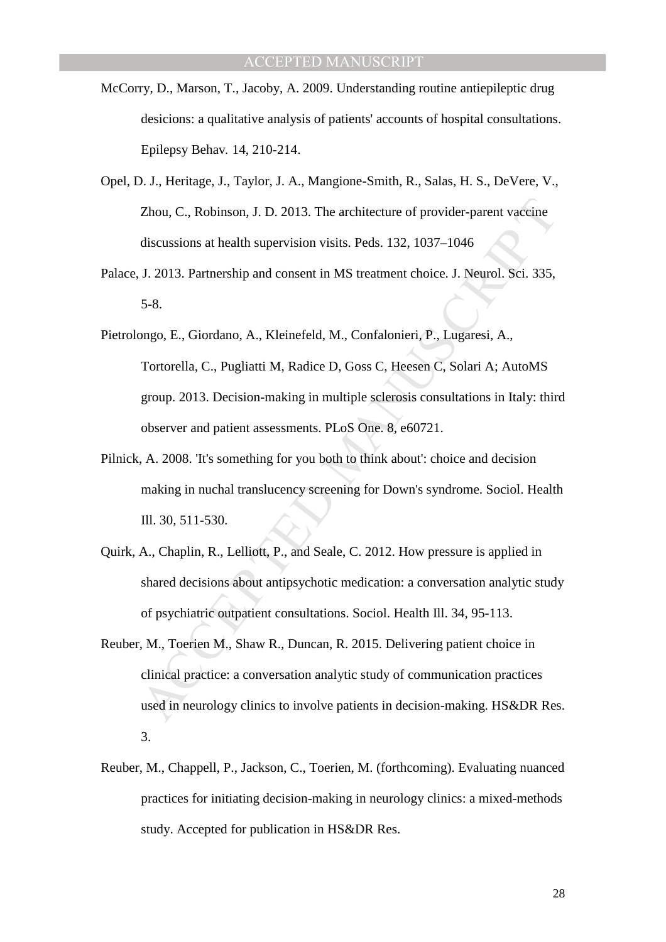- McCorry, D., Marson, T., Jacoby, A. 2009. Understanding routine antiepileptic drug desicions: a qualitative analysis of patients' accounts of hospital consultations. Epilepsy Behav*.* 14, 210-214.
- Opel, D. J., Heritage, J., Taylor, J. A., Mangione-Smith, R., Salas, H. S., DeVere, V., Zhou, C., Robinson, J. D. 2013. The architecture of provider-parent vaccine discussions at health supervision visits. Peds. 132, 1037–1046
- Palace, J. 2013. Partnership and consent in MS treatment choice. J. Neurol. Sci. 335, 5-8.
- Zhou, C., Robinson, J. D. 2013. The architecture of provider-parent vaccine<br>discussions at health supervision visits. Peds. 132, 1037–1046<br>J. 2013. Partnership and consent in MS treatment choice. J. Neurol. Sci. 335,<br>5-8.<br> Pietrolongo, E., Giordano, A., Kleinefeld, M., Confalonieri, P., Lugaresi, A., Tortorella, C., Pugliatti M, Radice D, Goss C, Heesen C, Solari A; AutoMS group. 2013. Decision-making in multiple sclerosis consultations in Italy: third observer and patient assessments. PLoS One. 8, e60721.
- Pilnick, A. 2008. 'It's something for you both to think about': choice and decision making in nuchal translucency screening for Down's syndrome. Sociol. Health Ill. 30, 511-530.
- Quirk, A., Chaplin, R., Lelliott, P., and Seale, C. 2012. How pressure is applied in shared decisions about antipsychotic medication: a conversation analytic study of psychiatric outpatient consultations. Sociol. Health Ill. 34, 95-113.
- Reuber, M., Toerien M., Shaw R., Duncan, R. 2015. Delivering patient choice in clinical practice: a conversation analytic study of communication practices used in neurology clinics to involve patients in decision-making. HS&DR Res. 3.
- Reuber, M., Chappell, P., Jackson, C., Toerien, M. (forthcoming). Evaluating nuanced practices for initiating decision-making in neurology clinics: a mixed-methods study. Accepted for publication in HS&DR Res.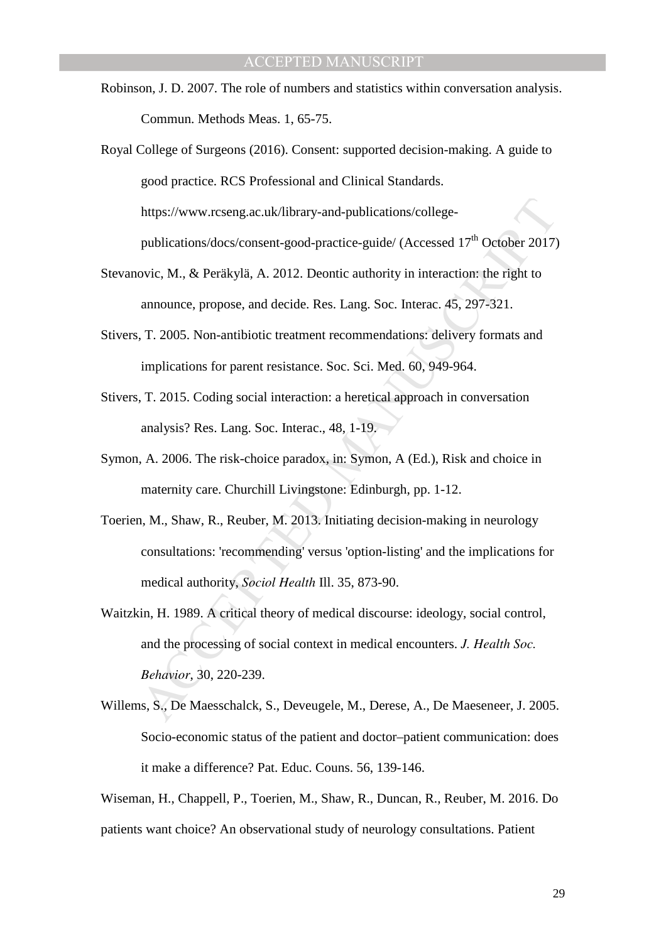Robinson, J. D. 2007. The role of numbers and statistics within conversation analysis. Commun. Methods Meas. 1, 65-75.

Royal College of Surgeons (2016). Consent: supported decision-making. A guide to good practice. RCS Professional and Clinical Standards. https://www.rcseng.ac.uk/library-and-publications/collegepublications/docs/consent-good-practice-guide/ (Accessed  $17<sup>th</sup>$  October 2017)

- Stevanovic, M., & Peräkylä, A. 2012. Deontic authority in interaction: the right to announce, propose, and decide. Res. Lang. Soc. Interac. 45, 297-321.
- Stivers, T. 2005. Non-antibiotic treatment recommendations: delivery formats and implications for parent resistance. Soc. Sci. Med. 60, 949-964.
- Stivers, T. 2015. Coding social interaction: a heretical approach in conversation analysis? Res. Lang. Soc. Interac., 48, 1-19.
- Symon, A. 2006. The risk-choice paradox, in: Symon, A (Ed.), Risk and choice in maternity care. Churchill Livingstone: Edinburgh, pp. 1-12.
- https://www.rcseng.ac.uk/library-and-publications/college-<br>publications/docs/consent-good-practice-guide/ (Accessed 17<sup>th</sup> October 2017)<br>ovic, M., & Peräkylä, A. 2012. Deontic authority in interaction: the right to<br>amounce Toerien, M., Shaw, R., Reuber, M. 2013. Initiating decision-making in neurology consultations: 'recommending' versus 'option-listing' and the implications for medical authority, *Sociol Health* Ill. 35, 873-90.
- Waitzkin, H. 1989. A critical theory of medical discourse: ideology, social control, and the processing of social context in medical encounters. *J. Health Soc. Behavior*, 30, 220-239.
- Willems, S., De Maesschalck, S., Deveugele, M., Derese, A., De Maeseneer, J. 2005. Socio-economic status of the patient and doctor–patient communication: does it make a difference? Pat. Educ. Couns. 56, 139-146.

Wiseman, H., Chappell, P., Toerien, M., Shaw, R., Duncan, R., Reuber, M. 2016. Do patients want choice? An observational study of neurology consultations. Patient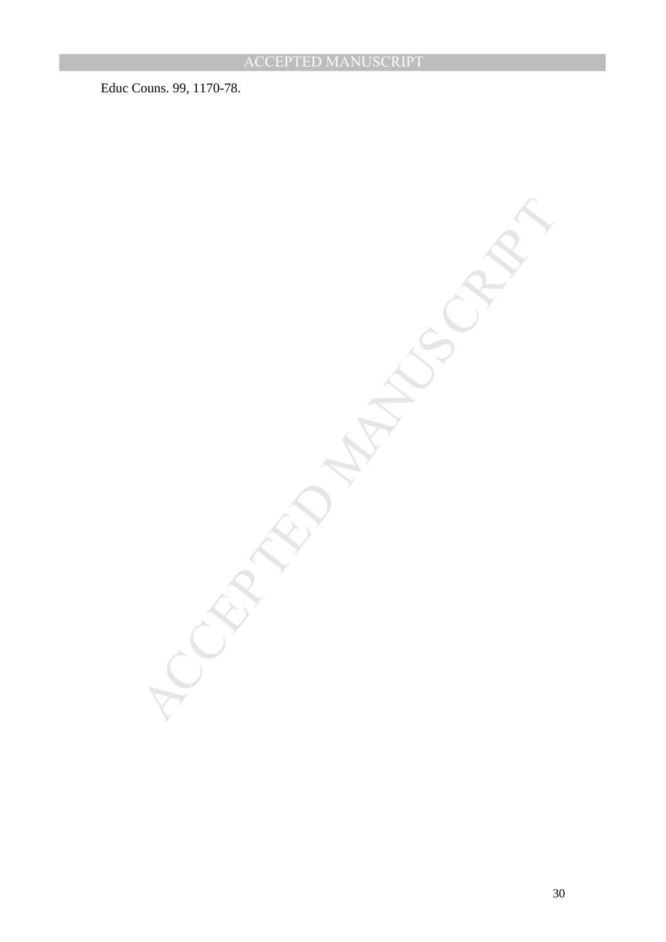Educ Couns. 99, 1170-78.

MCCRIPTION MANUSCRIPT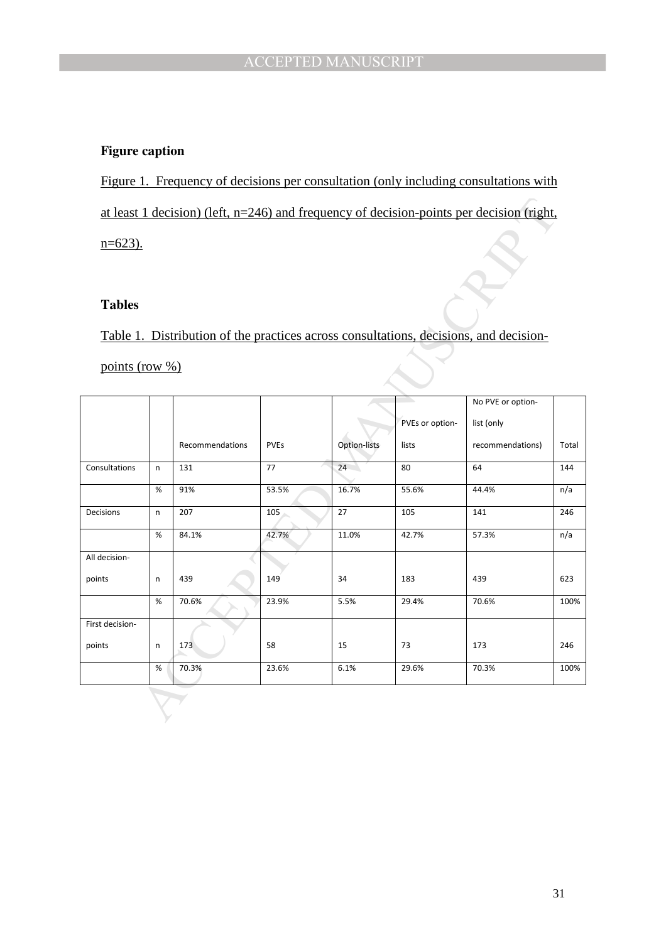## **Figure caption**

Figure 1. Frequency of decisions per consultation (only including consultations with at least 1 decision) (left, n=246) and frequency of decision-points per decision (right,  $n=623$ ).

## **Tables**

|                               |      | at least 1 decision) (left, $n=246$ ) and frequency of decision-points per decision (right, |             |              |                 |                   |       |  |  |
|-------------------------------|------|---------------------------------------------------------------------------------------------|-------------|--------------|-----------------|-------------------|-------|--|--|
| $n=623$ ).                    |      |                                                                                             |             |              |                 |                   |       |  |  |
|                               |      |                                                                                             |             |              |                 |                   |       |  |  |
|                               |      |                                                                                             |             |              |                 |                   |       |  |  |
| <b>Tables</b>                 |      |                                                                                             |             |              |                 |                   |       |  |  |
|                               |      | Table 1. Distribution of the practices across consultations, decisions, and decision-       |             |              |                 |                   |       |  |  |
| points (row $\frac{\%}{\%}$ ) |      |                                                                                             |             |              |                 |                   |       |  |  |
|                               |      |                                                                                             |             |              |                 |                   |       |  |  |
|                               |      |                                                                                             |             |              |                 | No PVE or option- |       |  |  |
|                               |      |                                                                                             |             |              | PVEs or option- | list (only        |       |  |  |
|                               |      | Recommendations                                                                             | <b>PVEs</b> | Option-lists | lists           | recommendations)  | Total |  |  |
| Consultations                 | n    | 131                                                                                         | 77          | 24           | 80              | 64                | 144   |  |  |
|                               | %    | 91%                                                                                         | 53.5%       | 16.7%        | 55.6%           | 44.4%             | n/a   |  |  |
| Decisions                     | n    | 207                                                                                         | 105         | 27           | 105             | 141               | 246   |  |  |
|                               | %    | 84.1%                                                                                       | 42.7%       | 11.0%        | 42.7%           | 57.3%             | n/a   |  |  |
| All decision-                 |      |                                                                                             |             |              |                 |                   |       |  |  |
| points                        | n    | 439                                                                                         | 149         | 34           | 183             | 439               | 623   |  |  |
|                               | %    | 70.6%                                                                                       | 23.9%       | 5.5%         | 29.4%           | 70.6%             | 100%  |  |  |
| First decision-               |      |                                                                                             |             |              |                 |                   |       |  |  |
| points                        | n    | 173                                                                                         | 58          | 15           | 73              | 173               | 246   |  |  |
|                               | $\%$ | 70.3%                                                                                       | 23.6%       | 6.1%         | 29.6%           | 70.3%             | 100%  |  |  |
|                               |      |                                                                                             |             |              |                 |                   |       |  |  |
|                               |      |                                                                                             |             |              |                 |                   |       |  |  |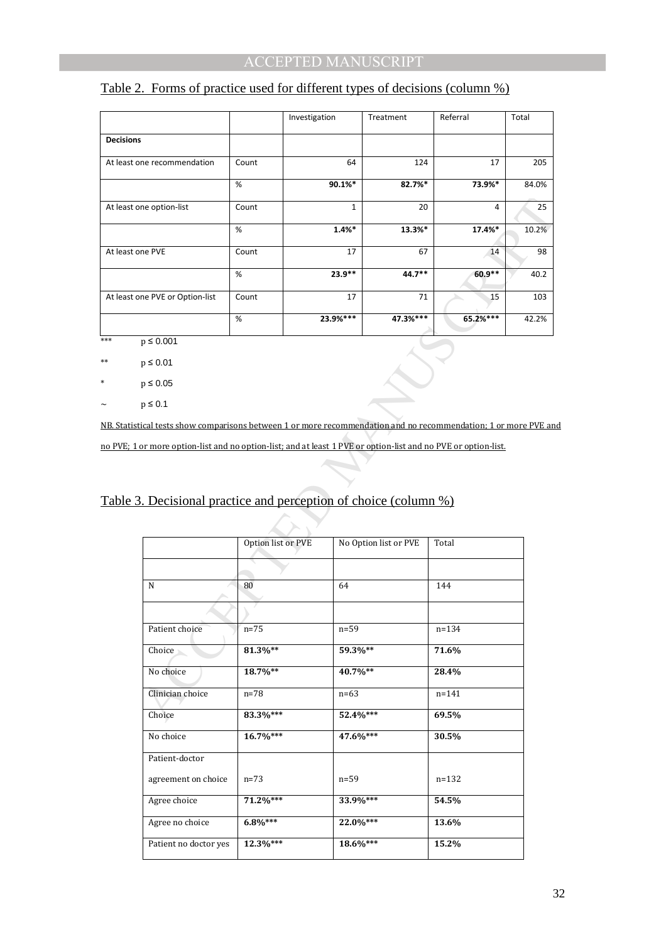| Table 2. Forms of practice used for different types of decisions (column %) |  |
|-----------------------------------------------------------------------------|--|
|                                                                             |  |

|                                 |       | Investigation | Treatment | Referral | Total |
|---------------------------------|-------|---------------|-----------|----------|-------|
| <b>Decisions</b>                |       |               |           |          |       |
| At least one recommendation     | Count | 64            | 124       | 17       | 205   |
|                                 | %     | $90.1\%$ *    | 82.7%*    | 73.9%*   | 84.0% |
| At least one option-list        | Count | $\mathbf{1}$  | 20        | 4        | 25    |
|                                 | %     | $1.4%$ *      | 13.3%*    | 17.4%*   | 10.2% |
| At least one PVE                | Count | 17            | 67        | 14       | 98    |
|                                 | %     | $23.9**$      | $44.7**$  | $60.9**$ | 40.2  |
| At least one PVE or Option-list | Count | 17            | 71        | 15       | 103   |
|                                 | %     | 23.9%***      | 47.3%***  | 65.2%*** | 42.2% |

\*\*\* p  $\leq 0.001$ 

\*\*  $p \le 0.01$ 

\* p ≤ 0.05

 $\sim$  p  $\leq$  0.1

NB. Statistical tests show comparisons between 1 or more recommendation and no recommendation; 1 or more PVE and no PVE; 1 or more option-list and no option-list; and at least 1 PVE or option-list and no PVE or option-list.

| one option-list                                                                                        | Count              | $\mathbf{1}$ | 20                    | 4         | 25    |
|--------------------------------------------------------------------------------------------------------|--------------------|--------------|-----------------------|-----------|-------|
|                                                                                                        | %                  | 1.4%         | 13.3%*                | 17.4%*    | 10.2% |
| one PVE                                                                                                | Count              | 17           | 67                    | 14        | 98    |
|                                                                                                        | $\%$               | 23.9**       | 44.7**                | 60.9**    | 40.2  |
| one PVE or Option-list                                                                                 | Count              | 17           | 71                    | 15        | 103   |
|                                                                                                        | %                  | 23.9%***     | 47.3%***              | 65.2%***  | 42.2% |
| $p \le 0.001$                                                                                          |                    |              |                       |           |       |
| $p \leq 0.01$                                                                                          |                    |              |                       |           |       |
| $p \leq 0.05$                                                                                          |                    |              |                       |           |       |
| $p \leq 0.1$                                                                                           |                    |              |                       |           |       |
| tical tests show comparisons between 1 or more recommendation and no recommendation; 1 or more PVE and |                    |              |                       |           |       |
| or more option-list and no option-list; and at least 1 PVE or option-list and no PVE or option-list.   |                    |              |                       |           |       |
|                                                                                                        |                    |              |                       |           |       |
|                                                                                                        |                    |              |                       |           |       |
| 3. Decisional practice and perception of choice (column %)                                             |                    |              |                       |           |       |
|                                                                                                        |                    |              |                       |           |       |
|                                                                                                        |                    |              |                       |           |       |
|                                                                                                        | Option list or PVE |              | No Option list or PVE | Total     |       |
|                                                                                                        |                    |              |                       |           |       |
| N                                                                                                      | 80                 | 64           |                       | 144       |       |
|                                                                                                        |                    |              |                       |           |       |
| Patient choice                                                                                         | $n=75$             | $n=59$       |                       | $n = 134$ |       |
| Choice                                                                                                 | 81.3%**            | 59.3%**      |                       | 71.6%     |       |
| No choice                                                                                              | 18.7%**            | 40.7%**      |                       | 28.4%     |       |
| Clinician choice                                                                                       | $n = 78$           | $n=63$       |                       | $n = 141$ |       |
| Choice                                                                                                 | 83.3%***           | 52.4%***     |                       | 69.5%     |       |
| No choice                                                                                              | 16.7%***           | 47.6%***     |                       | 30.5%     |       |
| Patient-doctor                                                                                         |                    |              |                       |           |       |
| agreement on choice                                                                                    | $n=73$             | $n=59$       |                       | $n = 132$ |       |
| Agree choice                                                                                           | 71.2%***           | 33.9%***     |                       | 54.5%     |       |
| Agree no choice                                                                                        | $6.8\%***$         | 22.0%***     |                       | 13.6%     |       |

# Table 3. Decisional practice and perception of choice (column %)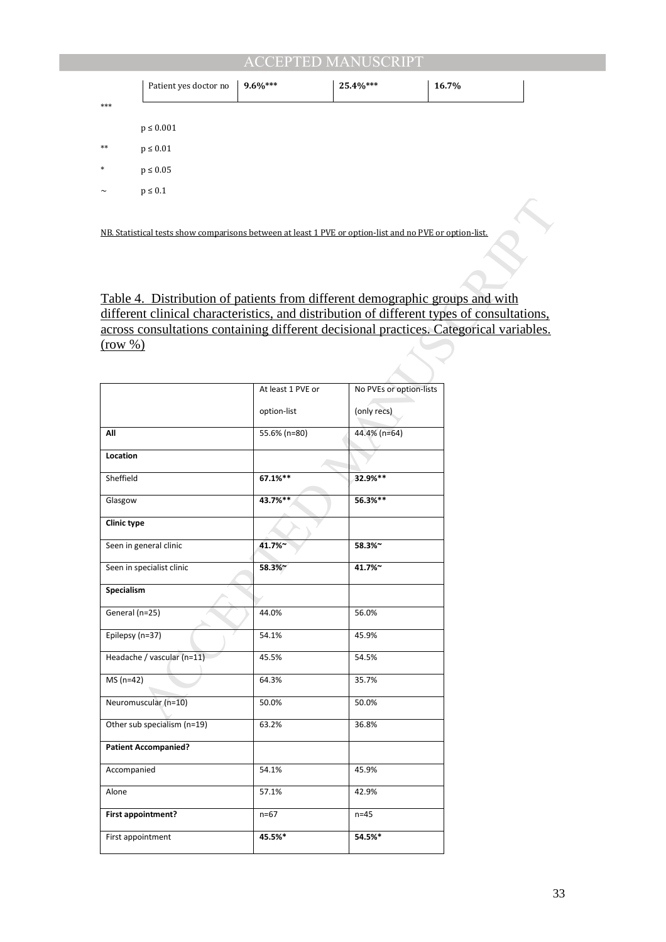|        | Patient yes doctor no | $9.6\%***$ | 25.4%*** | 16.7% |  |
|--------|-----------------------|------------|----------|-------|--|
| $***$  |                       |            |          |       |  |
|        | $p\leq 0.001$         |            |          |       |  |
| $**$   | $p\leq 0.01$          |            |          |       |  |
| $\ast$ | $p\leq 0.05$          |            |          |       |  |
| $\sim$ | $p\leq 0.1$           |            |          |       |  |
|        |                       |            |          |       |  |

| NB. Statistical tests show comparisons between at least 1 PVE or option-list and no PVE or option-list. |                   |                         |  |
|---------------------------------------------------------------------------------------------------------|-------------------|-------------------------|--|
|                                                                                                         |                   |                         |  |
|                                                                                                         |                   |                         |  |
|                                                                                                         |                   |                         |  |
| <u>Table 4. Distribution of patients from different demographic groups and with</u>                     |                   |                         |  |
| different clinical characteristics, and distribution of different types of consultations,               |                   |                         |  |
| across consultations containing different decisional practices. Categorical variables.<br>(row %)       |                   |                         |  |
|                                                                                                         |                   |                         |  |
|                                                                                                         |                   |                         |  |
|                                                                                                         | At least 1 PVE or | No PVEs or option-lists |  |
|                                                                                                         | option-list       | (only recs)             |  |
| All                                                                                                     | 55.6% (n=80)      | 44.4% (n=64)            |  |
| Location                                                                                                |                   |                         |  |
| Sheffield                                                                                               | 67.1%**           | 32.9%**                 |  |
| Glasgow                                                                                                 | 43.7%**           | 56.3%**                 |  |
| <b>Clinic type</b>                                                                                      |                   |                         |  |
| Seen in general clinic                                                                                  | 41.7%~            | 58.3%~                  |  |
| Seen in specialist clinic                                                                               | 58.3%~            | 41.7%~                  |  |
| Specialism                                                                                              |                   |                         |  |
| General (n=25)                                                                                          | 44.0%             | 56.0%                   |  |
| Epilepsy (n=37)                                                                                         | 54.1%             | 45.9%                   |  |
| Headache / vascular (n=11)                                                                              | 45.5%             | 54.5%                   |  |
| $MS(n=42)$                                                                                              | 64.3%             | 35.7%                   |  |
| Neuromuscular (n=10)                                                                                    | 50.0%             | 50.0%                   |  |
| Other sub specialism (n=19)                                                                             | 63.2%             | 36.8%                   |  |
| <b>Patient Accompanied?</b>                                                                             |                   |                         |  |
| Accompanied                                                                                             | 54.1%             | 45.9%                   |  |
| Alone                                                                                                   | 57.1%             | 42.9%                   |  |
| First appointment?                                                                                      | $n=67$            | $n=45$                  |  |
| First appointment                                                                                       | 45.5%*            | 54.5%*                  |  |
|                                                                                                         |                   |                         |  |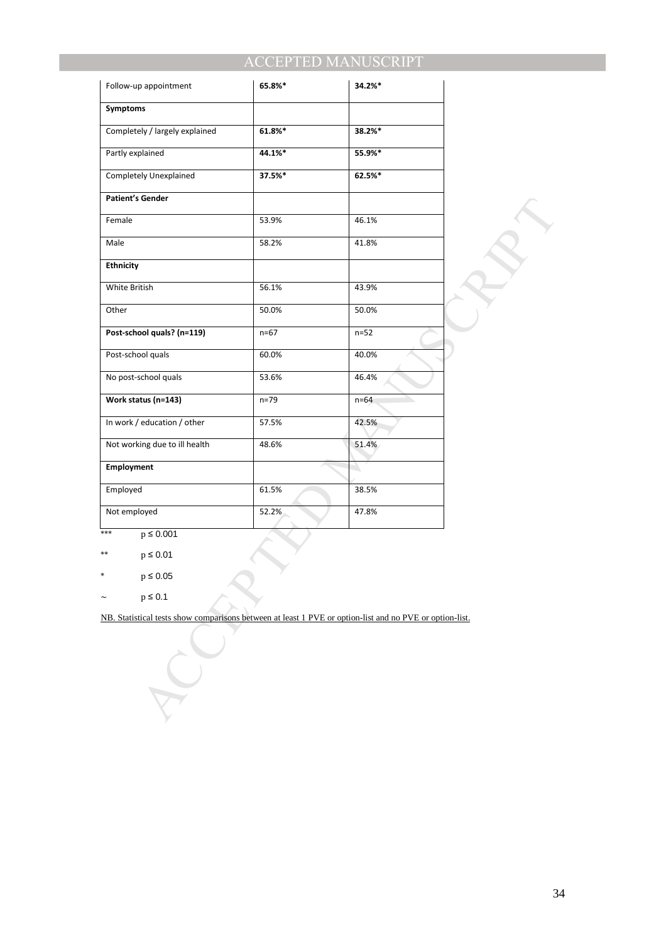| Follow-up appointment                                                                                   | 65.8%*   | 34.2%* |  |
|---------------------------------------------------------------------------------------------------------|----------|--------|--|
| Symptoms                                                                                                |          |        |  |
| Completely / largely explained                                                                          | 61.8%*   | 38.2%* |  |
| Partly explained                                                                                        | 44.1%*   | 55.9%* |  |
| Completely Unexplained                                                                                  | 37.5%*   | 62.5%* |  |
| <b>Patient's Gender</b>                                                                                 |          |        |  |
| Female                                                                                                  | 53.9%    | 46.1%  |  |
| Male                                                                                                    | 58.2%    | 41.8%  |  |
| <b>Ethnicity</b>                                                                                        |          |        |  |
| White British                                                                                           | 56.1%    | 43.9%  |  |
| Other                                                                                                   | 50.0%    | 50.0%  |  |
| Post-school quals? (n=119)                                                                              | $n = 67$ | $n=52$ |  |
| Post-school quals                                                                                       | 60.0%    | 40.0%  |  |
| No post-school quals                                                                                    | 53.6%    | 46.4%  |  |
| Work status (n=143)                                                                                     | $n=79$   | $n=64$ |  |
| In work / education / other                                                                             | 57.5%    | 42.5%  |  |
| Not working due to ill health                                                                           | 48.6%    | 51.4%  |  |
| Employment                                                                                              |          |        |  |
| Employed                                                                                                | 61.5%    | 38.5%  |  |
| Not employed                                                                                            | 52.2%    | 47.8%  |  |
| $p \leq 0.001$<br>***                                                                                   |          |        |  |
| $**$<br>$p \leq 0.01$                                                                                   |          |        |  |
| ∗<br>$p \leq 0.05$                                                                                      |          |        |  |
| $p \leq 0.1$                                                                                            |          |        |  |
| NB. Statistical tests show comparisons between at least 1 PVE or option-list and no PVE or option-list. |          |        |  |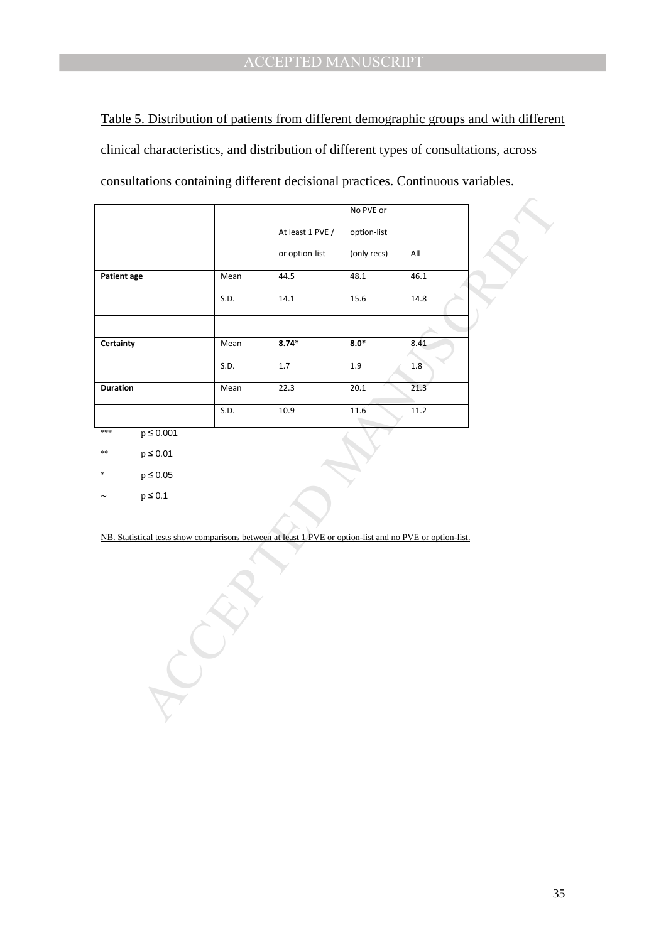Table 5. Distribution of patients from different demographic groups and with different clinical characteristics, and distribution of different types of consultations, across consultations containing different decisional practices. Continuous variables.

|                    |                   |      |                                                                                                         | No PVE or         |      |  |
|--------------------|-------------------|------|---------------------------------------------------------------------------------------------------------|-------------------|------|--|
|                    |                   |      | At least 1 PVE /                                                                                        | option-list       |      |  |
|                    |                   |      |                                                                                                         |                   |      |  |
|                    |                   |      | or option-list                                                                                          | (only recs)       | All  |  |
| <b>Patient age</b> |                   | Mean | 44.5                                                                                                    | 48.1              | 46.1 |  |
|                    |                   | S.D. | 14.1                                                                                                    | 15.6              | 14.8 |  |
|                    |                   |      |                                                                                                         |                   |      |  |
| Certainty          |                   | Mean | $8.74*$                                                                                                 | $8.0*$            | 8.41 |  |
|                    |                   | S.D. | 1.7                                                                                                     | 1.9               | 1.8  |  |
| <b>Duration</b>    |                   | Mean | 22.3                                                                                                    | 20.1              | 21.3 |  |
|                    |                   | S.D. | 10.9                                                                                                    | $\overline{11.6}$ | 11.2 |  |
| $***$              | $p \le 0.001$     |      |                                                                                                         |                   |      |  |
| $**$               | $p \le 0.01$      |      |                                                                                                         |                   |      |  |
|                    | $\rm p \leq 0.05$ |      |                                                                                                         |                   |      |  |
|                    | $\rm p \leq 0.1$  |      |                                                                                                         |                   |      |  |
|                    |                   |      |                                                                                                         |                   |      |  |
|                    |                   |      | NB. Statistical tests show comparisons between at least 1 PVE or option-list and no PVE or option-list. |                   |      |  |
|                    |                   |      |                                                                                                         |                   |      |  |
|                    |                   |      |                                                                                                         |                   |      |  |
|                    |                   |      |                                                                                                         |                   |      |  |
|                    |                   |      |                                                                                                         |                   |      |  |
|                    |                   |      |                                                                                                         |                   |      |  |
|                    |                   |      |                                                                                                         |                   |      |  |
|                    |                   |      |                                                                                                         |                   |      |  |
|                    |                   |      |                                                                                                         |                   |      |  |
|                    |                   |      |                                                                                                         |                   |      |  |
|                    |                   |      |                                                                                                         |                   |      |  |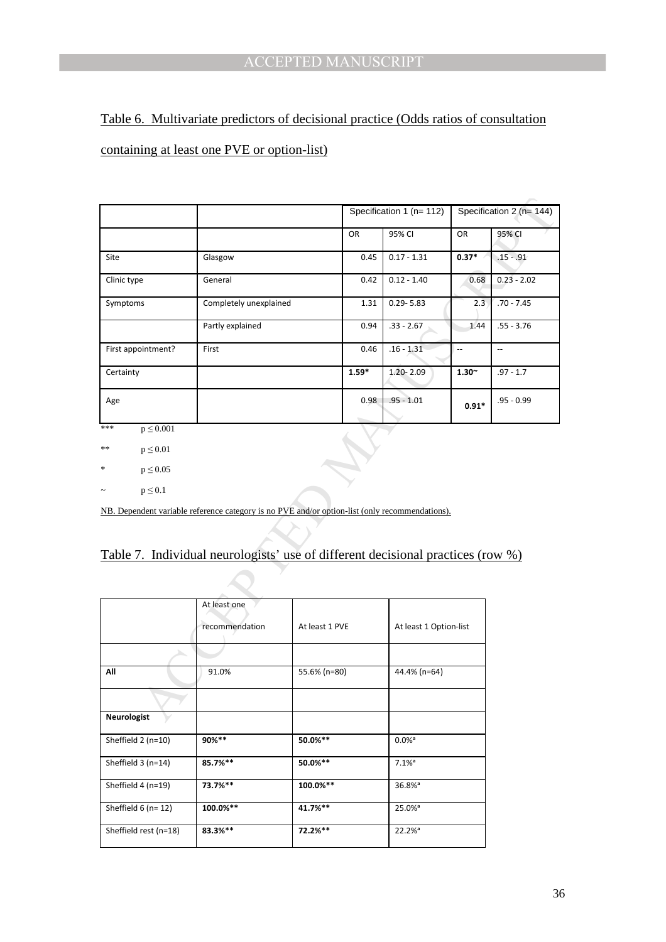# Table 6. Multivariate predictors of decisional practice (Odds ratios of consultation containing at least one PVE or option-list)

|                         |                                                                                                |                | Specification 1 (n= 112) |                        |               | Specification 2 (n= 144) |  |
|-------------------------|------------------------------------------------------------------------------------------------|----------------|--------------------------|------------------------|---------------|--------------------------|--|
|                         |                                                                                                |                | OR                       | 95% CI                 | <b>OR</b>     | 95% CI                   |  |
| Site                    | Glasgow                                                                                        |                | 0.45                     | $0.17 - 1.31$          | $0.37*$       | $.15 - .91$              |  |
| Clinic type             | General                                                                                        |                | 0.42                     | $0.12 - 1.40$          | 0.68          | $0.23 - 2.02$            |  |
| Symptoms                | Completely unexplained                                                                         |                | 1.31                     | $0.29 - 5.83$          | 2.3           | $.70 - 7.45$             |  |
|                         | Partly explained                                                                               |                | 0.94                     | $.33 - 2.67$           | 1.44          | $.55 - 3.76$             |  |
| First appointment?      | First                                                                                          |                | 0.46                     | $.16 - 1.31$           | Ξ,            | u.                       |  |
| Certainty               |                                                                                                |                | $1.59*$                  | 1.20-2.09              | $1.30^{\sim}$ | $.97 - 1.7$              |  |
| Age                     |                                                                                                |                | 0.98                     | $.95 - 1.01$           | $0.91*$       | .95 - 0.99               |  |
| $p \leq 0.001$<br>***   |                                                                                                |                |                          |                        |               |                          |  |
| $p \leq 0.01$<br>**     |                                                                                                |                |                          |                        |               |                          |  |
| $p \leq 0.05$<br>$\ast$ |                                                                                                |                |                          |                        |               |                          |  |
| $p \leq 0.1$            |                                                                                                |                |                          |                        |               |                          |  |
|                         | NB. Dependent variable reference category is no PVE and/or option-list (only recommendations). |                |                          |                        |               |                          |  |
|                         |                                                                                                |                |                          |                        |               |                          |  |
|                         | Table 7. Individual neurologists' use of different decisional practices (row %)                |                |                          |                        |               |                          |  |
|                         |                                                                                                |                |                          |                        |               |                          |  |
|                         | At least one                                                                                   |                |                          |                        |               |                          |  |
|                         | recommendation                                                                                 | At least 1 PVE |                          | At least 1 Option-list |               |                          |  |
|                         |                                                                                                |                |                          |                        |               |                          |  |
| All                     | 91.0%                                                                                          | 55.6% (n=80)   |                          | 44.4% (n=64)           |               |                          |  |
|                         |                                                                                                |                |                          |                        |               |                          |  |
| <b>Neurologist</b>      |                                                                                                |                |                          |                        |               |                          |  |

## Table 7. Individual neurologists' use of different decisional practices (row %)

|                       | At least one   |                |                        |
|-----------------------|----------------|----------------|------------------------|
|                       | recommendation | At least 1 PVE | At least 1 Option-list |
|                       |                |                |                        |
| All                   | 91.0%          | 55.6% (n=80)   | 44.4% (n=64)           |
|                       |                |                |                        |
| Neurologist           |                |                |                        |
| Sheffield 2 (n=10)    | 90%**          | 50.0%**        | $0.0%$ <sup>a</sup>    |
| Sheffield $3(n=14)$   | 85.7%**        | 50.0%**        | $7.1%$ <sup>a</sup>    |
| Sheffield 4 (n=19)    | 73.7%**        | 100.0%**       | 36.8% <sup>a</sup>     |
| Sheffield $6$ (n= 12) | 100.0%**       | 41.7%**        | 25.0% <sup>a</sup>     |
| Sheffield rest (n=18) | 83.3%**        | 72.2%**        | 22.2% <sup>a</sup>     |
|                       |                |                |                        |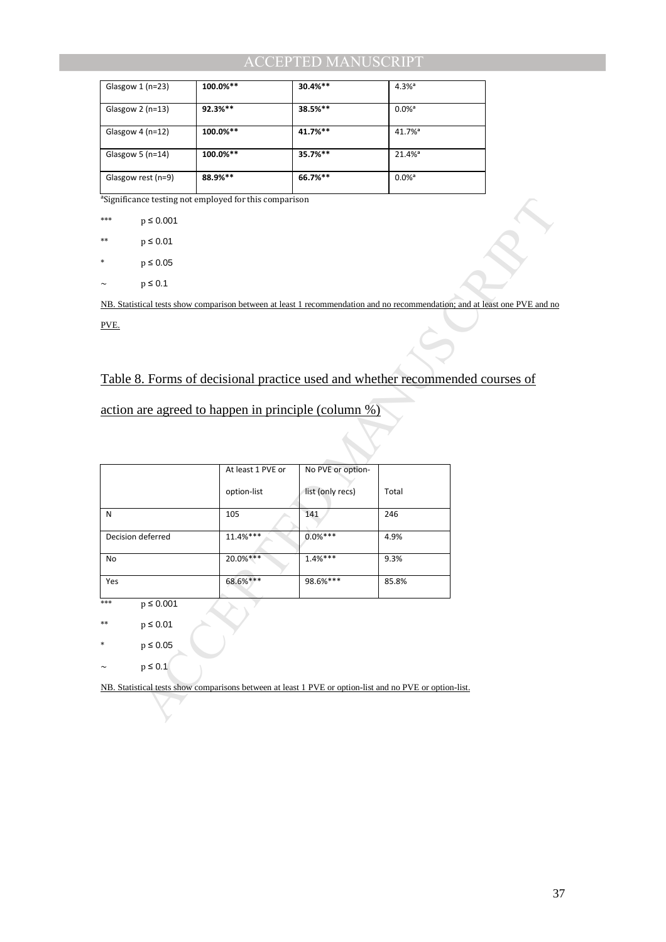| Glasgow $1$ (n=23)   | 100.0%**   | $30.4%$ ** | $4.3%$ <sup>a</sup>   |
|----------------------|------------|------------|-----------------------|
| Glasgow $2$ (n=13)   | $92.3%***$ | $38.5%$ ** | $0.0\%$ <sup>a</sup>  |
| Glasgow $4$ (n=12)   | 100.0%**   | 41.7%**    | $41.7\%$ <sup>a</sup> |
| Glasgow 5 ( $n=14$ ) | 100.0%**   | $35.7%$ ** | $21.4%$ <sup>a</sup>  |
| Glasgow rest (n=9)   | 88.9%**    | 66.7%**    | $0.0\%$ <sup>a</sup>  |

<sup>a</sup>Significance testing not employed for this comparison

## Table 8. Forms of decisional practice used and whether recommended courses of

|      | <sup>a</sup> Significance testing not employed for this comparison                                      |                                  |                                       |       |                                                                                                                            |
|------|---------------------------------------------------------------------------------------------------------|----------------------------------|---------------------------------------|-------|----------------------------------------------------------------------------------------------------------------------------|
| ***  | $p \leq 0.001$                                                                                          |                                  |                                       |       |                                                                                                                            |
| **   | $p \leq 0.01$                                                                                           |                                  |                                       |       |                                                                                                                            |
|      | $p \le 0.05$                                                                                            |                                  |                                       |       |                                                                                                                            |
|      | $p \leq 0.1$                                                                                            |                                  |                                       |       |                                                                                                                            |
|      |                                                                                                         |                                  |                                       |       | NB. Statistical tests show comparison between at least 1 recommendation and no recommendation; and at least one PVE and no |
| PVE. |                                                                                                         |                                  |                                       |       |                                                                                                                            |
|      |                                                                                                         |                                  |                                       |       | Table 8. Forms of decisional practice used and whether recommended courses of                                              |
|      | action are agreed to happen in principle (column $\frac{\%}{\%}$ )                                      |                                  |                                       |       |                                                                                                                            |
|      |                                                                                                         | At least 1 PVE or<br>option-list | No PVE or option-<br>list (only recs) | Total |                                                                                                                            |
| N    |                                                                                                         | 105                              | 141                                   | 246   |                                                                                                                            |
|      | Decision deferred                                                                                       | 11.4%***                         | $0.0%***$                             | 4.9%  |                                                                                                                            |
| No   |                                                                                                         | 20.0%***                         | $1.4%***$                             | 9.3%  |                                                                                                                            |
| Yes  |                                                                                                         | 68.6%***                         | 98.6%***                              | 85.8% |                                                                                                                            |
| ***  | $p \le 0.001$                                                                                           |                                  |                                       |       |                                                                                                                            |
| **   | $p \leq 0.01$                                                                                           |                                  |                                       |       |                                                                                                                            |
| *    | $p \le 0.05$                                                                                            |                                  |                                       |       |                                                                                                                            |
|      | $p \leq 0.1$                                                                                            |                                  |                                       |       |                                                                                                                            |
|      | NB. Statistical tests show comparisons between at least 1 PVE or option-list and no PVE or option-list. |                                  |                                       |       |                                                                                                                            |
|      |                                                                                                         |                                  |                                       |       |                                                                                                                            |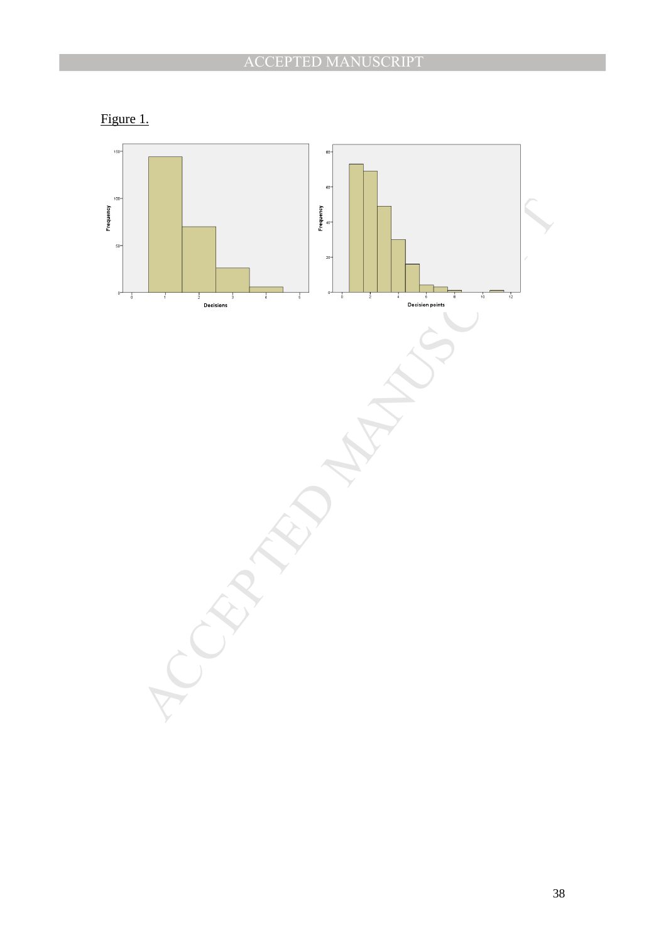

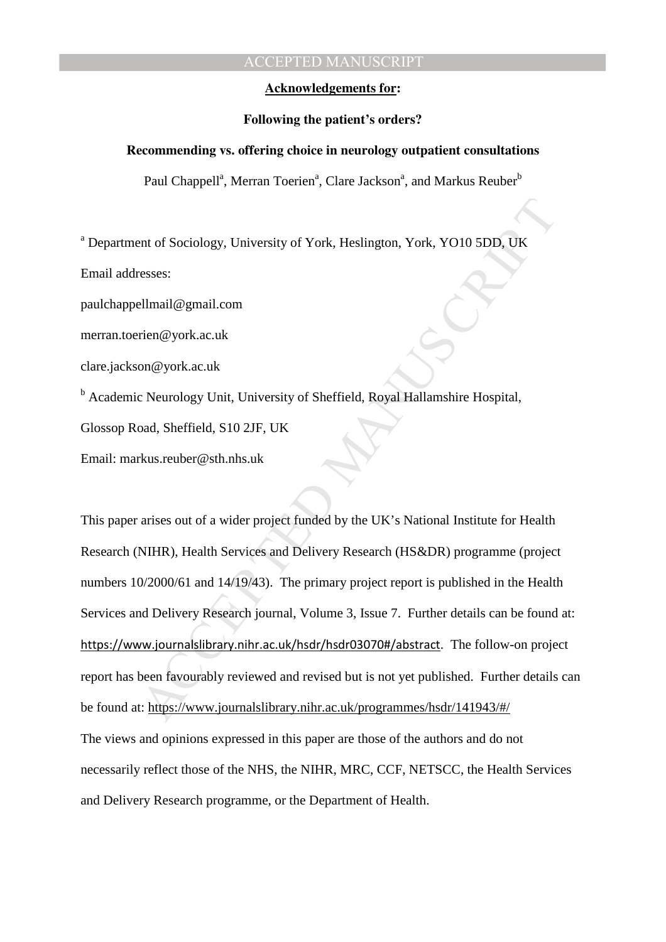### **Acknowledgements for:**

#### **Following the patient's orders?**

#### **Recommending vs. offering choice in neurology outpatient consultations**

Paul Chappell<sup>a</sup>, Merran Toerien<sup>a</sup>, Clare Jackson<sup>a</sup>, and Markus Reuber<sup>b</sup>

<sup>a</sup> Department of Sociology, University of York, Heslington, York, YO10 5DD, UK

Email addresses:

paulchappellmail@gmail.com

merran.toerien@york.ac.uk

clare.jackson@york.ac.uk

<sup>b</sup> Academic Neurology Unit, University of Sheffield, Royal Hallamshire Hospital,

Glossop Road, Sheffield, S10 2JF, UK

Email: markus.reuber@sth.nhs.uk

ent of Sociology, University of York, Heslington, York, YO10 5DD, UK<br>
sesses:<br>
Ellmail@gmail.com<br>
rien@york.ac.uk<br>
on@york.ac.uk<br>
on@york.ac.uk<br>
on@york.ac.uk<br>
on@york.ac.uk<br>
on@york.ac.uk<br>
on@york.ac.uk<br>
on@york.ac.uk<br>
se This paper arises out of a wider project funded by the UK's National Institute for Health Research (NIHR), Health Services and Delivery Research (HS&DR) programme (project numbers 10/2000/61 and 14/19/43). The primary project report is published in the Health Services and Delivery Research journal, Volume 3, Issue 7. Further details can be found at: https://www.journalslibrary.nihr.ac.uk/hsdr/hsdr03070#/abstract. The follow-on project report has been favourably reviewed and revised but is not yet published. Further details can be found at: https://www.journalslibrary.nihr.ac.uk/programmes/hsdr/141943/#/ The views and opinions expressed in this paper are those of the authors and do not necessarily reflect those of the NHS, the NIHR, MRC, CCF, NETSCC, the Health Services and Delivery Research programme, or the Department of Health.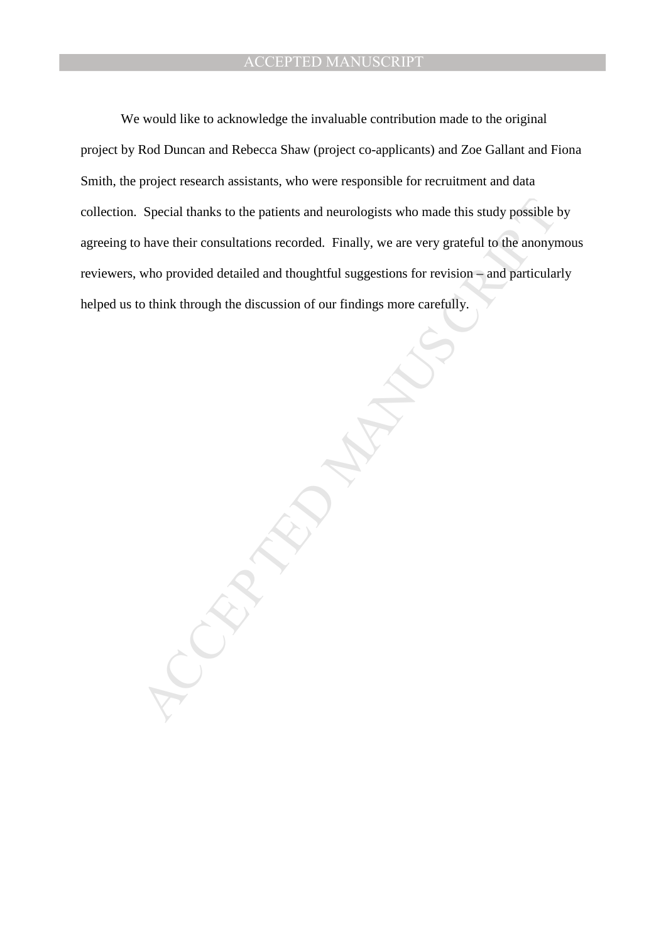We would like to acknowledge the invaluable contribution made to the original project by Rod Duncan and Rebecca Shaw (project co-applicants) and Zoe Gallant and Fiona Smith, the project research assistants, who were responsible for recruitment and data collection. Special thanks to the patients and neurologists who made this study possible by agreeing to have their consultations recorded. Finally, we are very grateful to the anonymous reviewers, who provided detailed and thoughtful suggestions for revision – and particularly helped us to think through the discussion of our findings more carefully.

MANUSCRIPT ACCEPTED